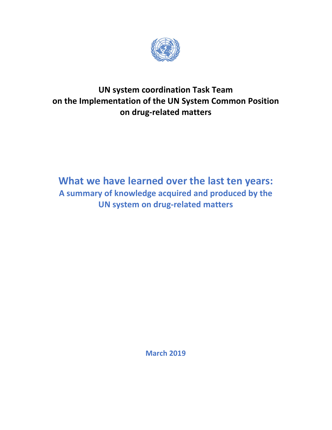

# **UN system coordination Task Team on the Implementation of the UN System Common Position on drug-related matters**

# **What we have learned over the last ten years: A summary of knowledge acquired and produced by the UN system on drug-related matters**

**March 2019**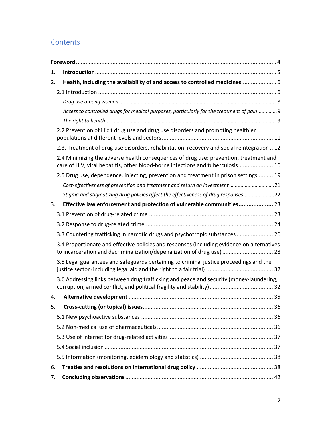### **Contents**

| 1. |                                                                                                                                                                         |  |
|----|-------------------------------------------------------------------------------------------------------------------------------------------------------------------------|--|
| 2. | Health, including the availability of and access to controlled medicines 6                                                                                              |  |
|    |                                                                                                                                                                         |  |
|    |                                                                                                                                                                         |  |
|    | Access to controlled drugs for medical purposes, particularly for the treatment of pain 9                                                                               |  |
|    |                                                                                                                                                                         |  |
|    | 2.2 Prevention of illicit drug use and drug use disorders and promoting healthier                                                                                       |  |
|    | 2.3. Treatment of drug use disorders, rehabilitation, recovery and social reintegration  12                                                                             |  |
|    | 2.4 Minimizing the adverse health consequences of drug use: prevention, treatment and<br>care of HIV, viral hepatitis, other blood-borne infections and tuberculosis 16 |  |
|    | 2.5 Drug use, dependence, injecting, prevention and treatment in prison settings 19                                                                                     |  |
|    | Cost-effectiveness of prevention and treatment and return on investment 21                                                                                              |  |
|    | Stigma and stigmatizing drug policies affect the effectiveness of drug responses 22                                                                                     |  |
| 3. | Effective law enforcement and protection of vulnerable communities 23                                                                                                   |  |
|    |                                                                                                                                                                         |  |
|    |                                                                                                                                                                         |  |
|    | 3.3 Countering trafficking in narcotic drugs and psychotropic substances  26                                                                                            |  |
|    | 3.4 Proportionate and effective policies and responses (including evidence on alternatives<br>to incarceration and decriminalization/depenalization of drug use)  28    |  |
|    | 3.5 Legal guarantees and safeguards pertaining to criminal justice proceedings and the                                                                                  |  |
|    | 3.6 Addressing links between drug trafficking and peace and security (money-laundering,                                                                                 |  |
| 4. |                                                                                                                                                                         |  |
| 5. |                                                                                                                                                                         |  |
|    |                                                                                                                                                                         |  |
|    |                                                                                                                                                                         |  |
|    |                                                                                                                                                                         |  |
|    |                                                                                                                                                                         |  |
|    |                                                                                                                                                                         |  |
| 6. |                                                                                                                                                                         |  |
| 7. |                                                                                                                                                                         |  |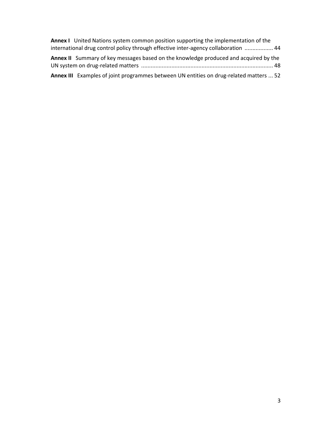| <b>Annex I</b> United Nations system common position supporting the implementation of the   |
|---------------------------------------------------------------------------------------------|
| international drug control policy through effective inter-agency collaboration  44          |
| <b>Annex II</b> Summary of key messages based on the knowledge produced and acquired by the |
| Annex III Examples of joint programmes between UN entities on drug-related matters  52      |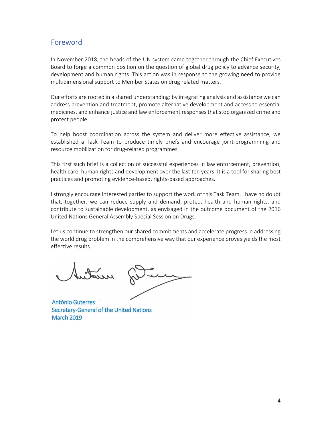### Foreword

In November 2018, the heads of the UN system came together through the Chief Executives Board to forge a common position on the question of global drug policy to advance security, development and human rights. This action was in response to the growing need to provide multidimensional support to Member States on drug related matters.

Our efforts are rooted in a shared understanding: by integrating analysis and assistance we can address prevention and treatment, promote alternative development and access to essential medicines, and enhance justice and law enforcement responses that stop organized crime and protect people.

To help boost coordination across the system and deliver more effective assistance, we established a Task Team to produce timely briefs and encourage joint-programming and resource mobilization for drug-related programmes.

This first such brief is a collection of successful experiences in law enforcement, prevention, health care, human rights and development over the last ten years. It is a tool for sharing best practices and promoting evidence-based, rights-based approaches.

I strongly encourage interested parties to support the work of this Task Team. I have no doubt that, together, we can reduce supply and demand, protect health and human rights, and contribute to sustainable development, as envisaged in the outcome document of the 2016 United Nations General Assembly Special Session on Drugs.

Let us continue to strengthen our shared commitments and accelerate progress in addressing the world drug problem in the comprehensive way that our experience proves yields the most effective results.

Jutatus

**António Guterres** Secretary-General of the United Nations **March 2019**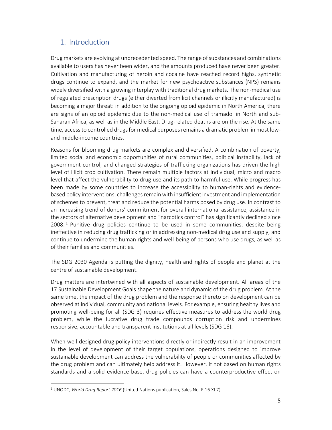### 1. Introduction

Drug markets are evolving at unprecedented speed. The range of substances and combinations available to users has never been wider, and the amounts produced have never been greater. Cultivation and manufacturing of heroin and cocaine have reached record highs, synthetic drugs continue to expand, and the market for new psychoactive substances (NPS) remains widely diversified with a growing interplay with traditional drug markets. The non-medical use of regulated prescription drugs (either diverted from licit channels or illicitly manufactured) is becoming a major threat: in addition to the ongoing opioid epidemic in North America, there are signs of an opioid epidemic due to the non-medical use of tramadol in North and sub-Saharan Africa, as well as in the Middle East. Drug-related deaths are on the rise. At the same time, access to controlled drugs for medical purposes remains a dramatic problem in most lowand middle-income countries.

Reasons for blooming drug markets are complex and diversified. A combination of poverty, limited social and economic opportunities of rural communities, political instability, lack of government control, and changed strategies of trafficking organizations has driven the high level of illicit crop cultivation. There remain multiple factors at individual, micro and macro level that affect the vulnerability to drug use and its path to harmful use. While progress has been made by some countries to increase the accessibility to human-rights and evidencebased policy interventions, challenges remain with insufficient investment and implementation of schemes to prevent, treat and reduce the potential harms posed by drug use. In contrast to an increasing trend of donors' commitment for overall international assistance, assistance in the sectors of alternative development and "narcotics control" has significantly declined since 2008.<sup>1</sup> Punitive drug policies continue to be used in some communities, despite being ineffective in reducing drug trafficking or in addressing non-medical drug use and supply, and continue to undermine the human rights and well-being of persons who use drugs, as well as of their families and communities.

The SDG 2030 Agenda is putting the dignity, health and rights of people and planet at the centre of sustainable development.

Drug matters are intertwined with all aspects of sustainable development. All areas of the 17 Sustainable Development Goals shape the nature and dynamic of the drug problem. At the same time, the impact of the drug problem and the response thereto on development can be observed at individual, community and national levels. For example, ensuring healthy lives and promoting well-being for all (SDG 3) requires effective measures to address the world drug problem, while the lucrative drug trade compounds corruption risk and undermines responsive, accountable and transparent institutions at all levels (SDG 16).

When well-designed drug policy interventions directly or indirectly result in an improvement in the level of development of their target populations, operations designed to improve sustainable development can address the vulnerability of people or communities affected by the drug problem and can ultimately help address it. However, if not based on human rights standards and a solid evidence base, drug policies can have a counterproductive effect on

<sup>1</sup> UNODC, *World Drug Report 2016* (United Nations publication, Sales No. E.16.XI.7).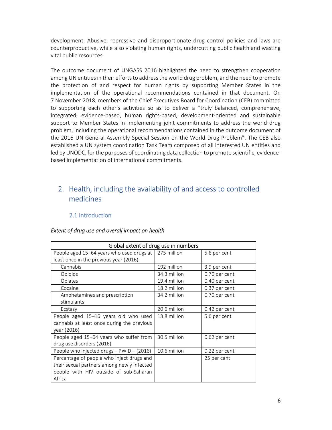development. Abusive, repressive and disproportionate drug control policies and laws are counterproductive, while also violating human rights, undercutting public health and wasting vital public resources.

The outcome document of UNGASS 2016 highlighted the need to strengthen cooperation among UN entities in their efforts to address the world drug problem, and the need to promote the protection of and respect for human rights by supporting Member States in the implementation of the operational recommendations contained in that document. On 7 November 2018, members of the Chief Executives Board for Coordination (CEB) committed to supporting each other's activities so as to deliver a "truly balanced, comprehensive, integrated, evidence-based, human rights-based, development-oriented and sustainable support to Member States in implementing joint commitments to address the world drug problem, including the operational recommendations contained in the outcome document of the 2016 UN General Assembly Special Session on the World Drug Problem". The CEB also established a UN system coordination Task Team composed of all interested UN entities and led by UNODC, for the purposes of coordinating data collection to promote scientific, evidencebased implementation of international commitments.

### 2. Health, including the availability of and access to controlled medicines

#### 2.1 Introduction

#### *Extent of drug use and overall impact on health*

| Global extent of drug use in numbers                                                                                                        |              |               |
|---------------------------------------------------------------------------------------------------------------------------------------------|--------------|---------------|
| People aged 15-64 years who used drugs at<br>least once in the previous year (2016)                                                         | 275 million  | 5.6 per cent  |
| Cannabis                                                                                                                                    | 192 million  | 3.9 per cent  |
| Opioids                                                                                                                                     | 34.3 million | 0.70 per cent |
| Opiates                                                                                                                                     | 19.4 million | 0.40 per cent |
| Cocaine                                                                                                                                     | 18.2 million | 0.37 per cent |
| Amphetamines and prescription<br>stimulants                                                                                                 | 34.2 million | 0.70 per cent |
| Ecstasy                                                                                                                                     | 20.6 million | 0.42 per cent |
| People aged 15-16 years old who used<br>cannabis at least once during the previous<br>year (2016)                                           | 13.8 million | 5.6 per cent  |
| People aged 15-64 years who suffer from<br>drug use disorders (2016)                                                                        | 30.5 million | 0.62 per cent |
| People who injected drugs - PWID - (2016)                                                                                                   | 10.6 million | 0.22 per cent |
| Percentage of people who inject drugs and<br>their sexual partners among newly infected<br>people with HIV outside of sub-Saharan<br>Africa |              | 25 per cent   |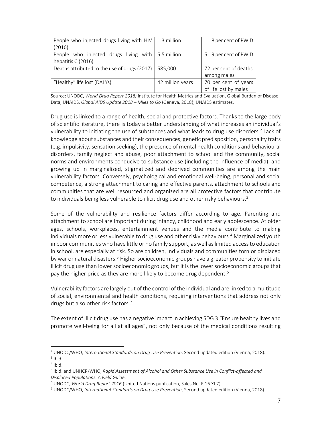| People who injected drugs living with HIV           | 1.3 million      | 11.8 per cent of PWID |
|-----------------------------------------------------|------------------|-----------------------|
| (2016)                                              |                  |                       |
| People who injected drugs living with   5.5 million |                  | 51.9 per cent of PWID |
| hepatitis C (2016)                                  |                  |                       |
| Deaths attributed to the use of drugs (2017)        | 585,000          | 72 per cent of deaths |
|                                                     |                  | among males           |
| "Healthy" life lost (DALYs)                         | 42 million years | 70 per cent of years  |
|                                                     |                  | of life lost by males |

Source: UNODC, *World Drug Report 2018;* Institute for Health Metrics and Evaluation, Global Burden of Disease Data; UNAIDS, *Global AIDS Update 2018 – Miles to Go* (Geneva, 2018); UNAIDS estimates.

Drug use is linked to a range of health, social and protective factors. Thanks to the large body of scientific literature, there is today a better understanding of what increases an individual's vulnerability to initiating the use of substances and what leads to drug use disorders.<sup>2</sup> Lack of knowledge about substances and their consequences, genetic predisposition, personality traits (e.g. impulsivity, sensation seeking), the presence of mental health conditions and behavioural disorders, family neglect and abuse, poor attachment to school and the community, social norms and environments conducive to substance use (including the influence of media), and growing up in marginalized, stigmatized and deprived communities are among the main vulnerability factors. Conversely, psychological and emotional well-being, personal and social competence, a strong attachment to caring and effective parents, attachment to schools and communities that are well resourced and organized are all protective factors that contribute to individuals being less vulnerable to illicit drug use and other risky behaviours.<sup>3</sup>

Some of the vulnerability and resilience factors differ according to age. Parenting and attachment to school are important during infancy, childhood and early adolescence. At older ages, schools, workplaces, entertainment venues and the media contribute to making individuals more or less vulnerable to drug use and other risky behaviours.<sup>4</sup> Marginalized youth in poor communities who have little or no family support, as well as limited access to education in school, are especially at risk. So are children, individuals and communities torn or displaced by war or natural disasters.<sup>5</sup> Higher socioeconomic groups have a greater propensity to initiate illicit drug use than lower socioeconomic groups, but it is the lower socioeconomic groups that pay the higher price as they are more likely to become drug dependent.<sup>6</sup>

Vulnerability factors are largely out of the control of the individual and are linked to a multitude of social, environmental and health conditions, requiring interventions that address not only drugs but also other risk factors.<sup>7</sup>

The extent of illicit drug use has a negative impact in achieving SDG 3 "Ensure healthy lives and promote well-being for all at all ages", not only because of the medical conditions resulting

<sup>2</sup> UNODC/WHO, *International Standards on Drug Use Prevention*, Second updated edition (Vienna, 2018).  $3$  Ibid.

<sup>4</sup> Ibid.

<sup>5</sup> Ibid. and UNHCR/WHO, *Rapid Assessment of Alcohol and Other Substance Use in Conflict-affected and Displaced Populations: A Field Guide*.

<sup>6</sup> UNODC, *World Drug Report 2016* (United Nations publication, Sales No. E.16.XI.7).

<sup>7</sup> UNODC/WHO, *International Standards on Drug Use Prevention*, Second updated edition (Vienna, 2018).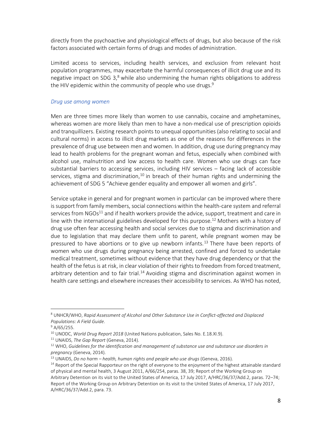directly from the psychoactive and physiological effects of drugs, but also because of the risk factors associated with certain forms of drugs and modes of administration.

Limited access to services, including health services, and exclusion from relevant host population programmes, may exacerbate the harmful consequences of illicit drug use and its negative impact on SDG 3,<sup>8</sup> while also undermining the human rights obligations to address the HIV epidemic within the community of people who use drugs.<sup>9</sup>

#### *Drug use among women*

Men are three times more likely than women to use cannabis, cocaine and amphetamines, whereas women are more likely than men to have a non-medical use of prescription opioids and tranquillizers. Existing research points to unequal opportunities (also relating to social and cultural norms) in access to illicit drug markets as one of the reasons for differences in the prevalence of drug use between men and women. In addition, drug use during pregnancy may lead to health problems for the pregnant woman and fetus, especially when combined with alcohol use, malnutrition and low access to health care. Women who use drugs can face substantial barriers to accessing services, including HIV services – facing lack of accessible services, stigma and discrimination, $10$  in breach of their human rights and undermining the achievement of SDG 5 "Achieve gender equality and empower all women and girls".

Service uptake in general and for pregnant women in particular can be improved where there is support from family members, social connections within the health-care system and referral services from  $NGOs<sup>11</sup>$  and if health workers provide the advice, support, treatment and care in line with the international guidelines developed for this purpose.<sup>12</sup> Mothers with a history of drug use often fear accessing health and social services due to stigma and discrimination and due to legislation that may declare them unfit to parent, while pregnant women may be pressured to have abortions or to give up newborn infants.<sup>13</sup> There have been reports of women who use drugs during pregnancy being arrested, confined and forced to undertake medical treatment, sometimes without evidence that they have drug dependency or that the health of the fetus is at risk, in clear violation of their rights to freedom from forced treatment, arbitrary detention and to fair trial.<sup>14</sup> Avoiding stigma and discrimination against women in health care settings and elsewhere increases their accessibility to services. As WHO has noted,

<sup>8</sup> UNHCR/WHO, *Rapid Assessment of Alcohol and Other Substance Use in Conflict-affected and Displaced Populations: A Field Guide*.

<sup>&</sup>lt;sup>9</sup> A/65/255.

<sup>10</sup> UNODC, *World Drug Report 2018* (United Nations publication, Sales No. E.18.XI.9).

<sup>11</sup> UNAIDS, *The Gap Report* (Geneva, 2014).

<sup>12</sup> WHO, *Guidelines for the identification and management of substance use and substance use disorders in pregnancy* (Geneva, 2014).

<sup>13</sup> UNAIDS, *Do no harm – health, human rights and people who use drugs* (Geneva, 2016).

<sup>&</sup>lt;sup>14</sup> Report of the Special Rapporteur on the right of everyone to the enjoyment of the highest attainable standard of physical and mental health, 3 August 2011, A/66/254, paras. 38, 39; Report of the Working Group on Arbitrary Detention on its visit to the United States of America, 17 July 2017, A/HRC/36/37/Add.2, paras. 72–74;

Report of the Working Group on Arbitrary Detention on its visit to the United States of America, 17 July 2017, A/HRC/36/37/Add.2, para. 73.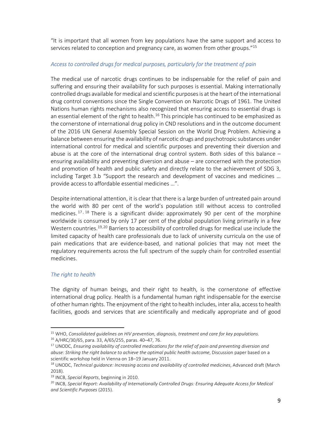"It is important that all women from key populations have the same support and access to services related to conception and pregnancy care, as women from other groups."<sup>15</sup>

#### *Access to controlled drugs for medical purposes, particularly for the treatment of pain*

The medical use of narcotic drugs continues to be indispensable for the relief of pain and suffering and ensuring their availability for such purposes is essential. Making internationally controlled drugs available for medical and scientific purposes is at the heart of the international drug control conventions since the Single Convention on Narcotic Drugs of 1961. The United Nations human rights mechanisms also recognized that ensuring access to essential drugs is an essential element of the right to health.<sup>16</sup> This principle has continued to be emphasized as the cornerstone of international drug policy in CND resolutions and in the outcome document of the 2016 UN General Assembly Special Session on the World Drug Problem. Achieving a balance between ensuring the availability of narcotic drugs and psychotropic substances under international control for medical and scientific purposes and preventing their diversion and abuse is at the core of the international drug control system. Both sides of this balance – ensuring availability and preventing diversion and abuse – are concerned with the protection and promotion of health and public safety and directly relate to the achievement of SDG 3, including Target 3.b "Support the research and development of vaccines and medicines … provide access to affordable essential medicines …".

Despite international attention, it is clear that there is a large burden of untreated pain around the world with 80 per cent of the world's population still without access to controlled medicines.<sup>17, 18</sup> There is a significant divide: approximately 90 per cent of the morphine worldwide is consumed by only 17 per cent of the global population living primarily in a few Western countries.<sup>19,20</sup> Barriers to accessibility of controlled drugs for medical use include the limited capacity of health care professionals due to lack of university curricula on the use of pain medications that are evidence-based, and national policies that may not meet the regulatory requirements across the full spectrum of the supply chain for controlled essential medicines.

#### *The right to health*

.

The dignity of human beings, and their right to health, is the cornerstone of effective international drug policy. Health is a fundamental human right indispensable for the exercise of other human rights. The enjoyment of the right to health includes, inter alia, access to health facilities, goods and services that are scientifically and medically appropriate and of good

<sup>15</sup> WHO, *Consolidated guidelines on HIV prevention, diagnosis, treatment and care for key populations*.

<sup>16</sup> A/HRC/30/65, para. 33, A/65/255, paras. 40–47, 76.

<sup>17</sup> UNODC, *Ensuring availability of controlled medications for the relief of pain and preventing diversion and abuse: Striking the right balance to achieve the optimal public health outcome*, Discussion paper based on a scientific workshop held in Vienna on 18–19 January 2011.

<sup>&</sup>lt;sup>18</sup> UNODC, *Technical guidance: Increasing access and availability of controlled medicines*, Advanced draft (March 2018).

<sup>19</sup> INCB, *Special Reports*, beginning in 2010.

<sup>20</sup> INCB, *Special Report: Availability of Internationally Controlled Drugs: Ensuring Adequate Access for Medical and Scientific Purposes* (2015).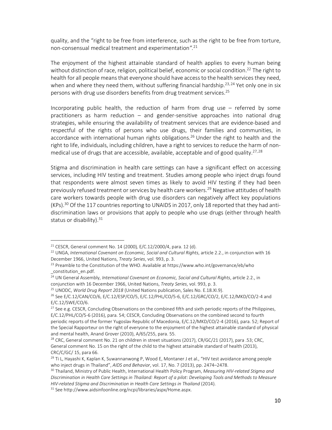quality, and the "right to be free from interference, such as the right to be free from torture, non-consensual medical treatment and experimentation*".*<sup>21</sup>

The enjoyment of the highest attainable standard of health applies to every human being without distinction of race, religion, political belief, economic or social condition.<sup>22</sup> The right to health for all people means that everyone should have access to the health services they need, when and where they need them, without suffering financial hardship.<sup>23,24</sup> Yet only one in six persons with drug use disorders benefits from drug treatment services.<sup>25</sup>

Incorporating public health, the reduction of harm from drug use – referred by some practitioners as harm reduction – and gender-sensitive approaches into national drug strategies, while ensuring the availability of treatment services that are evidence-based and respectful of the rights of persons who use drugs, their families and communities, in accordance with international human rights obligations.<sup>26</sup> Under the right to health and the right to life, individuals, including children, have a right to services to reduce the harm of nonmedical use of drugs that are accessible, available, acceptable and of good quality.<sup>27,28</sup>

Stigma and discrimination in health care settings can have a significant effect on accessing services, including HIV testing and treatment. Studies among people who inject drugs found that respondents were almost seven times as likely to avoid HIV testing if they had been previously refused treatment or services by health care workers.<sup>29</sup> Negative attitudes of health care workers towards people with drug use disorders can negatively affect key populations (KPs).<sup>30</sup> Of the 117 countries reporting to UNAIDS in 2017, only 18 reported that they had antidiscrimination laws or provisions that apply to people who use drugs (either through health status or disability). $31$ 

-

<sup>24</sup> UN General Assembly, *International Covenant on Economic, Social and Cultural Rights*, article 2.2., in conjunction with 16 December 1966, United Nations, *Treaty Series*, vol. 993, p. 3.

<sup>21</sup> CESCR, General comment No. 14 (2000)*,* E/C.12/2000/4, para. 12 (d).

<sup>&</sup>lt;sup>22</sup> UNGA, International Covenant on Economic, Social and Cultural Rights, article 2.2., in conjunction with 16 December 1966, United Nations, *Treaty Series*, vol. 993, p. 3.

<sup>&</sup>lt;sup>23</sup> Preamble to the Constitution of the WHO. Available at https://www.who.int/governance/eb/who \_constitution\_en.pdf.

<sup>25</sup> UNODC, *World Drug Report 2018* (United Nations publication, Sales No. E.18.XI.9).

<sup>26</sup> See E/C.12/CAN/CO/6, E/C.12/ESP/CO/5, E/C.12/PHL/CO/5-6, E/C.12/GRC/CO/2, E/C.12/MKD/CO/2-4 and E/C.12/SWE/CO/6.

<sup>&</sup>lt;sup>27</sup> See e.g. CESCR, Concluding Observations on the combined fifth and sixth periodic reports of the Philippines, E/C.12/PHL/CO/5-6 (2016), para. 54; CESCR, Concluding Observations on the combined second to fourth periodic reports of the former Yugoslav Republic of Macedonia, E/C.12/MKD/CO/2-4 (2016), para. 52; Report of the Special Rapporteur on the right of everyone to the enjoyment of the highest attainable standard of physical and mental health, Anand Grover (2010), A/65/255, para. 55.

<sup>&</sup>lt;sup>28</sup> CRC, General comment No. 21 on children in street situations (2017), CR/GC/21 (2017), para .53; CRC, General comment No. 15 on the right of the child to the highest attainable standard of health (2013), CRC/C/GC/ 15, para 66.

<sup>&</sup>lt;sup>29</sup> Ti L, Hayashi K, Kaplan K, Suwannanwong P, Wood E, Montaner J et al., "HIV test avoidance among people who inject drugs in Thailand", *AIDS and Behavior*, vol. 17, No. 7 (2013), pp. 2474–2478.

<sup>30</sup> Thailand, Ministry of Public Health, International Health Policy Program, *Measuring HIV-related Stigma and Discrimination in Health Care Settings in Thailand: Report of a pilot: Developing Tools and Methods to Measure HIV-related Stigma and Discrimination in Health Care Settings in Thailand* (2014).

<sup>&</sup>lt;sup>31</sup> See http://www.aidsinfoonline.org/ncpi/libraries/aspx/Home.aspx.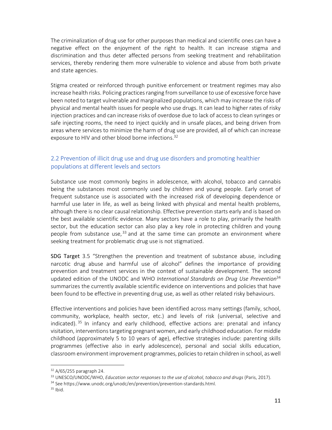The criminalization of drug use for other purposes than medical and scientific ones can have a negative effect on the enjoyment of the right to health. It can increase stigma and discrimination and thus deter affected persons from seeking treatment and rehabilitation services, thereby rendering them more vulnerable to violence and abuse from both private and state agencies.

Stigma created or reinforced through punitive enforcement or treatment regimes may also increase health risks. Policing practices ranging from surveillance to use of excessive force have been noted to target vulnerable and marginalized populations, which may increase the risks of physical and mental health issues for people who use drugs. It can lead to higher rates of risky injection practices and can increase risks of overdose due to lack of access to clean syringes or safe injecting rooms, the need to inject quickly and in unsafe places, and being driven from areas where services to minimize the harm of drug use are provided, all of which can increase exposure to HIV and other blood borne infections.<sup>32</sup>

#### 2.2 Prevention of illicit drug use and drug use disorders and promoting healthier populations at different levels and sectors

Substance use most commonly begins in adolescence, with alcohol, tobacco and cannabis being the substances most commonly used by children and young people. Early onset of frequent substance use is associated with the increased risk of developing dependence or harmful use later in life, as well as being linked with physical and mental health problems, although there is no clear causal relationship. Effective prevention starts early and is based on the best available scientific evidence. Many sectors have a role to play, primarily the health sector, but the education sector can also play a key role in protecting children and young people from substance use,  $33$  and at the same time can promote an environment where seeking treatment for problematic drug use is not stigmatized.

SDG Target 3.5 "Strengthen the prevention and treatment of substance abuse, including narcotic drug abuse and harmful use of alcohol" defines the importance of providing prevention and treatment services in the context of sustainable development. The second updated edition of the UNODC and WHO *International Standards on Drug Use Prevention*<sup>34</sup> summarizes the currently available scientific evidence on interventions and policies that have been found to be effective in preventing drug use, as well as other related risky behaviours.

Effective interventions and policies have been identified across many settings (family, school, community, workplace, health sector, etc.) and levels of risk (universal, selective and indicated). <sup>35</sup> In infancy and early childhood, effective actions are: prenatal and infancy visitation, interventions targeting pregnant women, and early childhood education. For middle childhood (approximately 5 to 10 years of age), effective strategies include: parenting skills programmes (effective also in early adolescence), personal and social skills education, classroom environment improvement programmes, policies to retain children in school, as well

<sup>32</sup> A/65/255 paragraph 24.

<sup>33</sup> UNESCO/UNODC/WHO, *Education sector responses to the use of alcohol, tobacco and drugs* (Paris, 2017).

<sup>&</sup>lt;sup>34</sup> See https://www.unodc.org/unodc/en/prevention/prevention-standards.html.

 $35$  Ibid.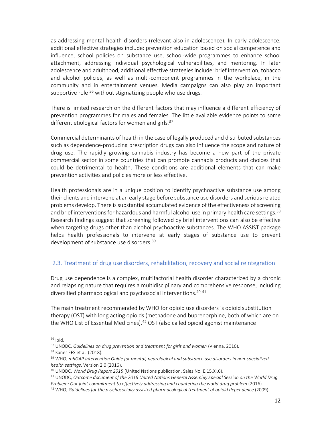as addressing mental health disorders (relevant also in adolescence). In early adolescence, additional effective strategies include: prevention education based on social competence and influence, school policies on substance use, school-wide programmes to enhance school attachment, addressing individual psychological vulnerabilities, and mentoring. In later adolescence and adulthood, additional effective strategies include: brief intervention, tobacco and alcohol policies, as well as multi-component programmes in the workplace, in the community and in entertainment venues. Media campaigns can also play an important supportive role  $36$  without stigmatizing people who use drugs.

There is limited research on the different factors that may influence a different efficiency of prevention programmes for males and females. The little available evidence points to some different etiological factors for women and girls.<sup>37</sup>

Commercial determinants of health in the case of legally produced and distributed substances such as dependence-producing prescription drugs can also influence the scope and nature of drug use. The rapidly growing cannabis industry has become a new part of the private commercial sector in some countries that can promote cannabis products and choices that could be detrimental to health. These conditions are additional elements that can make prevention activities and policies more or less effective.

Health professionals are in a unique position to identify psychoactive substance use among their clients and intervene at an early stage before substance use disorders and serious related problems develop. There is substantial accumulated evidence of the effectiveness of screening and brief interventions for hazardous and harmful alcohol use in primary health care settings.<sup>38</sup> Research findings suggest that screening followed by brief interventions can also be effective when targeting drugs other than alcohol psychoactive substances. The WHO ASSIST package helps health professionals to intervene at early stages of substance use to prevent development of substance use disorders.<sup>39</sup>

#### 2.3. Treatment of drug use disorders, rehabilitation, recovery and social reintegration

Drug use dependence is a complex, multifactorial health disorder characterized by a chronic and relapsing nature that requires a multidisciplinary and comprehensive response, including diversified pharmacological and psychosocial interventions.<sup>40,41</sup>

The main treatment recommended by WHO for opioid use disorders is opioid substitution therapy (OST) with long acting opioids (methadone and buprenorphine, both of which are on the WHO List of Essential Medicines). $42$  OST (also called opioid agonist maintenance

<sup>36</sup> Ibid.

<sup>37</sup> UNODC, *Guidelines on drug prevention and treatment for girls and women* (Vienna, 2016).

<sup>38</sup> Kaner EFS et al*.* (2018).

<sup>39</sup> WHO, *mhGAP Intervention Guide for mental, neurological and substance use disorders in non-specialized health settings*, Version 2.0 (2016).

<sup>40</sup> UNODC, *World Drug Report 2015* (United Nations publication, Sales No. E.15.XI.6).

<sup>41</sup> UNODC, *Outcome document of the 2016 United Nations General Assembly Special Session on the World Drug*  Problem: Our joint commitment to effectively addressing and countering the world drug problem (2016).

<sup>42</sup> WHO, *Guidelines for the psychosocially assisted pharmacological treatment of opioid dependence* (2009).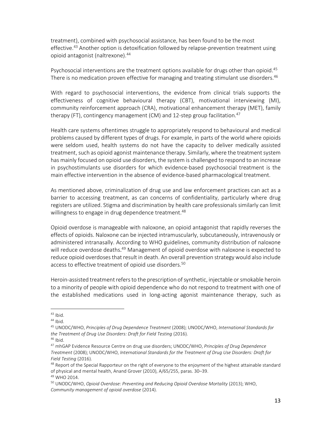treatment), combined with psychosocial assistance, has been found to be the most effective.<sup>43</sup> Another option is detoxification followed by relapse-prevention treatment using opioid antagonist (naltrexone).<sup>44</sup>

Psychosocial interventions are the treatment options available for drugs other than opioid.<sup>45</sup> There is no medication proven effective for managing and treating stimulant use disorders.<sup>46</sup>

With regard to psychosocial interventions, the evidence from clinical trials supports the effectiveness of cognitive behavioural therapy (CBT), motivational interviewing (MI), community reinforcement approach (CRA), motivational enhancement therapy (MET), family therapy (FT), contingency management (CM) and 12-step group facilitation.<sup>47</sup>

Health care systems oftentimes struggle to appropriately respond to behavioural and medical problems caused by different types of drugs. For example, in parts of the world where opioids were seldom used, health systems do not have the capacity to deliver medically assisted treatment, such as opioid agonist maintenance therapy. Similarly, where the treatment system has mainly focused on opioid use disorders, the system is challenged to respond to an increase in psychostimulants use disorders for which evidence-based psychosocial treatment is the main effective intervention in the absence of evidence-based pharmacological treatment.

As mentioned above, criminalization of drug use and law enforcement practices can act as a barrier to accessing treatment, as can concerns of confidentiality, particularly where drug registers are utilized. Stigma and discrimination by health care professionals similarly can limit willingness to engage in drug dependence treatment.<sup>48</sup>

Opioid overdose is manageable with naloxone, an opioid antagonist that rapidly reverses the effects of opioids. Naloxone can be injected intramuscularly, subcutaneously, intravenously or administered intranasally. According to WHO guidelines, community distribution of naloxone will reduce overdose deaths.<sup>49</sup> Management of opioid overdose with naloxone is expected to reduce opioid overdoses that result in death. An overall prevention strategy would also include access to effective treatment of opioid use disorders.<sup>50</sup>

Heroin-assisted treatment refers to the prescription of synthetic, injectable or smokable heroin to a minority of people with opioid dependence who do not respond to treatment with one of the established medications used in long-acting agonist maintenance therapy, such as

 $43$  Ibid.

 $44$  Ibid.

<sup>45</sup> UNODC/WHO, *Principles of Drug Dependence Treatment* (2008); UNODC/WHO, *International Standards for the Treatment of Drug Use Disorders: Draft for Field Testing* (2016).

 $46$  Ibid.

<sup>47</sup> mhGAP Evidence Resource Centre on drug use disorders; UNODC/WHO, *Principles of Drug Dependence Treatment* (2008); UNODC/WHO, *International Standards for the Treatment of Drug Use Disorders: Draft for Field Testing* (2016).

<sup>&</sup>lt;sup>48</sup> Report of the Special Rapporteur on the right of everyone to the enjoyment of the highest attainable standard of physical and mental health, Anand Grover (2010), A/65/255, paras. 30–39.

<sup>49</sup> WHO 2014.

<sup>50</sup> UNODC/WHO, *Opioid Overdose: Preventing and Reducing Opioid Overdose Mortality* (2013); WHO, *Community management of opioid overdose* (2014).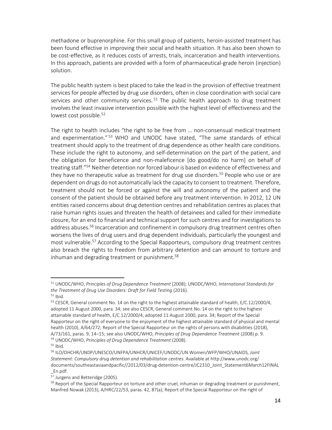methadone or buprenorphine. For this small group of patients, heroin-assisted treatment has been found effective in improving their social and health situation. It has also been shown to be cost-effective, as it reduces costs of arrests, trials, incarceration and health interventions. In this approach, patients are provided with a form of pharmaceutical-grade heroin (injection) solution.

The public health system is best placed to take the lead in the provision of effective treatment services for people affected by drug use disorders, often in close coordination with social care services and other community services.<sup>51</sup> The public health approach to drug treatment involves the least invasive intervention possible with the highest level of effectiveness and the lowest cost possible.<sup>52</sup>

The right to health includes "the right to be free from … non-consensual medical treatment and experimentation."<sup>53</sup> WHO and UNODC have stated, "The same standards of ethical treatment should apply to the treatment of drug dependence as other health care conditions. These include the right to autonomy, and self-determination on the part of the patient, and the obligation for beneficence and non-maleficence [do good/do no harm] on behalf of treating staff."<sup>54</sup> Neither detention nor forced labour is based on evidence of effectiveness and they have no therapeutic value as treatment for drug use disorders.<sup>55</sup> People who use or are dependent on drugs do not automatically lack the capacity to consent to treatment. Therefore, treatment should not be forced or against the will and autonomy of the patient and the consent of the patient should be obtained before any treatment intervention. In 2012, 12 UN entities raised concerns about drug detention centres and rehabilitation centres as places that raise human rights issues and threaten the health of detainees and called for their immediate closure, for an end to financial and technical support for such centres and for investigations to address abuses.<sup>56</sup> Incarceration and confinement in compulsory drug treatment centres often worsens the lives of drug users and drug dependent individuals, particularly the youngest and most vulnerable.<sup>57</sup> According to the Special Rapporteurs, compulsory drug treatment centres also breach the rights to freedom from arbitrary detention and can amount to torture and inhuman and degrading treatment or punishment.<sup>58</sup>

<sup>51</sup> UNODC/WHO, *Principles of Drug Dependence Treatment* (2008); UNODC/WHO, *International Standards for the Treatment of Drug Use Disorders: Draft for Field Testing* (2016).

<sup>52</sup> Ibid.

<sup>&</sup>lt;sup>53</sup> CESCR, General comment No. 14 on the right to the highest attainable standard of health, E/C.12/2000/4, adopted 11 August 2000, para. 34; see also CESCR, General comment No. 14 on the right to the highest attainable standard of health, E/C.12/2000/4, adopted 11 August 2000, para. 34; Report of the Special Rapporteur on the right of everyone to the enjoyment of the highest attainable standard of physical and mental health (2010), A/64/272; Report of the Special Rapporteur on the rights of persons with disabilities (2018), A/73/161, paras. 9, 14–15; see also UNODC/WHO, *Principles of Drug Dependence Treatment* (2008) p. 9. <sup>54</sup> UNODC/WHO, *Principles of Drug Dependence Treatment* (2008).

<sup>55</sup> Ibid.

<sup>56</sup> ILO/OHCHR/UNDP/UNESCO/UNFPA/UNHCR/UNICEF/UNODC/UN Women/WFP/WHO/UNAIDS, *Joint Statement: Compulsory drug detention and rehabilitation centres*. Available at http://www.unodc.org/ documents/southeastasiaandpacific//2012/03/drug-detention-centre/JC2310\_Joint\_Statement6March12FINAL \_En.pdf.

<sup>57</sup> Jurgens and Betteridge (2005).

<sup>&</sup>lt;sup>58</sup> Report of the Special Rapporteur on torture and other cruel, inhuman or degrading treatment or punishment, Manfred Nowak (2013), A/HRC/22/53, paras. 42, 87(a); Report of the Special Rapporteur on the right of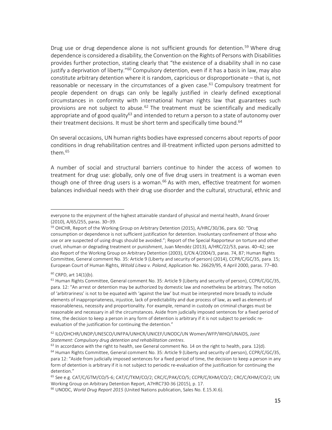Drug use or drug dependence alone is not sufficient grounds for detention.<sup>59</sup> Where drug dependence is considered a disability, the Convention on the Rights of Persons with Disabilities provides further protection, stating clearly that "the existence of a disability shall in no case justify a deprivation of liberty."<sup>60</sup> Compulsory detention, even if it has a basis in law, may also constitute arbitrary detention where it is random, capricious or disproportionate – that is, not reasonable or necessary in the circumstances of a given case.<sup>61</sup> Compulsory treatment for people dependent on drugs can only be legally justified in clearly defined exceptional circumstances in conformity with international human rights law that guarantees such provisions are not subject to abuse.<sup>62</sup> The treatment must be scientifically and medically appropriate and of good quality $63$  and intended to return a person to a state of autonomy over their treatment decisions. It must be short term and specifically time bound.<sup>64</sup>

On several occasions, UN human rights bodies have expressed concerns about reports of poor conditions in drug rehabilitation centres and ill-treatment inflicted upon persons admitted to them.<sup>65</sup>

A number of social and structural barriers continue to hinder the access of women to treatment for drug use: globally, only one of five drug users in treatment is a woman even though one of three drug users is a woman.<sup>66</sup> As with men, effective treatment for women balances individual needs with their drug use disorder and the cultural, structural, ethnic and

.

everyone to the enjoyment of the highest attainable standard of physical and mental health, Anand Grover (2010), A/65/255, paras. 30–39.

<sup>&</sup>lt;sup>59</sup> OHCHR, Report of the Working Group on Arbitrary Detention (2015), A/HRC/30/36, para. 60: "Drug consumption or dependence is not sufficient justification for detention. Involuntary confinement of those who use or are suspected of using drugs should be avoided."; Report of the Special Rapporteur on torture and other cruel, inhuman or degrading treatment or punishment, Juan Mendéz (2013), A/HRC/22/53, paras. 40–42; see also Report of the Working Group on Arbitrary Detention (2003), E/CN.4/2004/3, paras. 74, 87; Human Rights Committee, General comment No. 35: Article 9 (Liberty and security of person) (2014), CCPR/C/GC/35, para. 15; European Court of Human Rights, *Witold Litwa v. Poland*, Application No. 26629/95, 4 April 2000, paras. 77–80.

<sup>60</sup> CRPD, art 14(1)(b).

<sup>&</sup>lt;sup>61</sup> Human Rights Committee, General comment No. 35: Article 9 (Liberty and security of person), CCPR/C/GC/35, para. 12: "An arrest or detention may be authorized by domestic law and nonetheless be arbitrary. The notion of 'arbitrariness' is not to be equated with 'against the law' but must be interpreted more broadly to include elements of inappropriateness, injustice, lack of predictability and due process of law, as well as elements of reasonableness, necessity and proportionality. For example, remand in custody on criminal charges must be reasonable and necessary in all the circumstances. Aside from judicially imposed sentences for a fixed period of time, the decision to keep a person in any form of detention is arbitrary if it is not subject to periodic reevaluation of the justification for continuing the detention."

<sup>62</sup> ILO/OHCHR/UNDP/UNESCO/UNFPA/UNHCR/UNICEF/UNODC/UN Women/WFP/WHO/UNAIDS, *Joint Statement: Compulsory drug detention and rehabilitation centres*.

 $63$  In accordance with the right to health, see General comment No. 14 on the right to health, para. 12(d). <sup>64</sup> Human Rights Committee, General comment No. 35: Article 9 (Liberty and security of person), CCPR/C/GC/35, para 12: "Aside from judicially imposed sentences for a fixed period of time, the decision to keep a person in any form of detention is arbitrary if it is not subject to periodic re-evaluation of the justification for continuing the detention."

<sup>65</sup> See e.g. CAT/C/GTM/CO/5-6; CAT/C/TKM/CO/2; CRC/C/PAK/CO/5; CCPR/C/KHM/CO/2; CRC/C/KHM/CO/2; UN Working Group on Arbitrary Detention Report, A7HRC730-36 (2015), p. 17.

<sup>66</sup> UNODC, *World Drug Report 2015* (United Nations publication, Sales No. E.15.XI.6).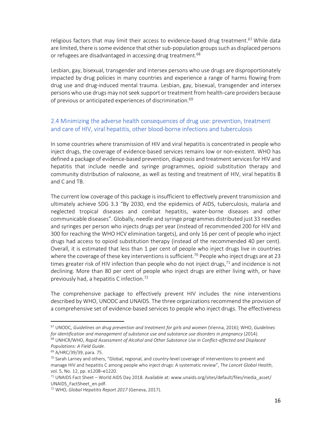religious factors that may limit their access to evidence-based drug treatment.<sup>67</sup> While data are limited, there is some evidence that other sub-population groups such as displaced persons or refugees are disadvantaged in accessing drug treatment.<sup>68</sup>

Lesbian, gay, bisexual, transgender and intersex persons who use drugs are disproportionately impacted by drug policies in many countries and experience a range of harms flowing from drug use and drug-induced mental trauma. Lesbian, gay, bisexual, transgender and intersex persons who use drugs may not seek support or treatment from health-care providers because of previous or anticipated experiences of discrimination.<sup>69</sup>

#### 2.4 Minimizing the adverse health consequences of drug use: prevention, treatment and care of HIV, viral hepatitis, other blood-borne infections and tuberculosis

In some countries where transmission of HIV and viral hepatitis is concentrated in people who inject drugs, the coverage of evidence-based services remains low or non-existent. WHO has defined a package of evidence-based prevention, diagnosis and treatment services for HIV and hepatitis that include needle and syringe programmes, opioid substitution therapy and community distribution of naloxone, as well as testing and treatment of HIV, viral hepatitis B and C and TB.

The current low coverage of this package is insufficient to effectively prevent transmission and ultimately achieve SDG 3.3 "By 2030, end the epidemics of AIDS, tuberculosis, malaria and neglected tropical diseases and combat hepatitis, water-borne diseases and other communicable diseases". Globally, needle and syringe programmes distributed just 33 needles and syringes per person who injects drugs per year (instead of recommended 200 for HIV and 300 for reaching the WHO HCV elimination targets), and only 16 per cent of people who inject drugs had access to opioid substitution therapy (instead of the recommended 40 per cent). Overall, it is estimated that less than 1 per cent of people who inject drugs live in countries where the coverage of these key interventions is sufficient.<sup>70</sup> People who inject drugs are at 23 times greater risk of HIV infection than people who do not inject drugs, $71$  and incidence is not declining. More than 80 per cent of people who inject drugs are either living with, or have previously had, a hepatitis C infection.<sup>72</sup>

The comprehensive package to effectively prevent HIV includes the nine interventions described by WHO, UNODC and UNAIDS. The three organizations recommend the provision of a comprehensive set of evidence-based services to people who inject drugs. The effectiveness

<sup>67</sup> UNODC, *Guidelines on drug prevention and treatment for girls and women* (Vienna, 2016); WHO, *Guidelines for identification and management of substance use and substance use disorders in pregnancy* (2014).

<sup>68</sup> UNHCR/WHO, *Rapid Assessment of Alcohol and Other Substance Use in Conflict-affected and Displaced Populations: A Field Guide*.

<sup>69</sup> A/HRC/39/39, para. 75.

<sup>70</sup> Sarah Larney and others, "Global, regional, and country-level coverage of interventions to prevent and manage HIV and hepatitis C among people who inject drugs: A systematic review", *The Lancet Global Health*, vol. 5, No. 12, pp. e1208–e1220.

<sup>&</sup>lt;sup>71</sup> UNAIDS Fact Sheet – World AIDS Day 2018. Available at: www.unaids.org/sites/default/files/media\_asset/ UNAIDS\_FactSheet\_en.pdf.

<sup>72</sup> WHO, *Global Hepatitis Report 2017* (Geneva, 2017).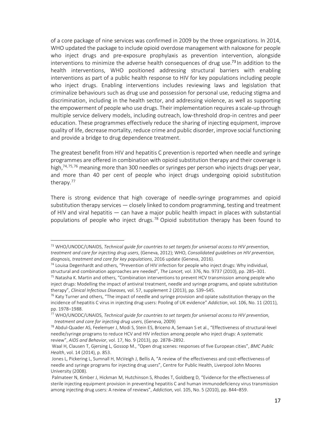of a core package of nine services was confirmed in 2009 by the three organizations. In 2014, WHO updated the package to include opioid overdose management with naloxone for people who inject drugs and pre-exposure prophylaxis as prevention intervention, alongside interventions to minimize the adverse health consequences of drug use.<sup>73</sup> In addition to the health interventions, WHO positioned addressing structural barriers with enabling interventions as part of a public health response to HIV for key populations including people who inject drugs. Enabling interventions includes reviewing laws and legislation that criminalize behaviours such as drug use and possession for personal use, reducing stigma and discrimination, including in the health sector, and addressing violence, as well as supporting the empowerment of people who use drugs. Their implementation requires a scale-up through multiple service delivery models, including outreach, low-threshold drop-in centres and peer education. These programmes effectively reduce the sharing of injecting equipment, improve quality of life, decrease mortality, reduce crime and public disorder, improve social functioning and provide a bridge to drug dependence treatment.

The greatest benefit from HIV and hepatitis C prevention is reported when needle and syringe programmes are offered in combination with opioid substitution therapy and their coverage is high,<sup>74,75,76</sup> meaning more than 300 needles or syringes per person who injects drugs per year, and more than 40 per cent of people who inject drugs undergoing opioid substitution therapy.<sup>77</sup>

There is strong evidence that high coverage of needle-syringe programmes and opioid substitution therapy services — closely linked to condom programming, testing and treatment of HIV and viral hepatitis — can have a major public health impact in places with substantial populations of people who inject drugs.<sup>78</sup> Opioid substitution therapy has been found to

<sup>73</sup> WHO/UNODC/UNAIDS, *Technical guide for countries to set targets for universal access to HIV prevention, treatment and care for injecting drug users*, (Geneva, 2012); WHO, *Consolidated guidelines on HIV prevention, diagnosis, treatment and care for key populations*, 2016 update (Geneva, 2016).

 $74$  Louisa Degenhardt and others, "Prevention of HIV infection for people who inject drugs: Why individual, structural and combination approaches are needed", *The Lancet,* vol. 376, No. 9737 (2010), pp. 285–301.

<sup>75</sup> Natasha K. Martin and others, "Combination interventions to prevent HCV transmission among people who inject drugs: Modelling the impact of antiviral treatment, needle and syringe programs, and opiate substitution therapy", *Clinical Infectious Diseases,* vol. 57, supplement 2 (2013), pp. S39–S45.

 $76$  Katy Turner and others, "The impact of needle and syringe provision and opiate substitution therapy on the incidence of hepatitis C virus in injecting drug users: Pooling of UK evidence" *Addiction*, vol. 106, No. 11 (2011), pp. 1978–1988.

<sup>77</sup> WHO/UNODC/UNAIDS, *Technical guide for countries to set targets for universal access to HIV prevention, treatment and care for injecting drug users*, (Geneva, 2009)

<sup>78</sup> Abdul-Quader AS, Feelemyer J, Modi S, Stein ES, Briceno A, Semaan S et al., "Effectiveness of structural-level needle/syringe programs to reduce HCV and HIV infection among people who inject drugs: A systematic review", *AIDS and Behavior*, vol. 17, No. 9 (2013), pp. 2878–2892.

Waal H, Clausen T, Gjersing L, Gossop M., "Open drug scenes: responses of five European cities", *BMC Public Health*, vol. 14 (2014), p. 853.

Jones L, Pickering L, Sumnall H, McVeigh J, Bellis A, "A review of the effectiveness and cost-effectiveness of needle and syringe programs for injecting drug users", Centre for Public Health, Liverpool John Moores University (2008).

Palmateer N, Kimber J, Hickman M, Hutchinson S, Rhodes T, Goldberg D, "Evidence for the effectiveness of sterile injecting equipment provision in preventing hepatitis C and human immunodeficiency virus transmission among injecting drug users: A review of reviews", *Addiction,* vol. 105, No. 5 (2010), pp. 844–859.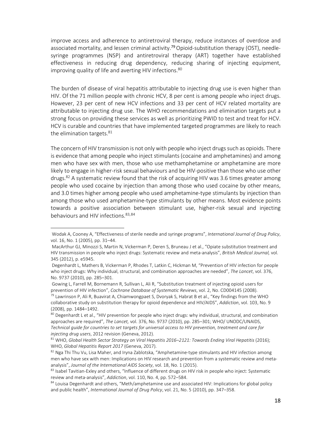improve access and adherence to antiretroviral therapy, reduce instances of overdose and associated mortality, and lessen criminal activity.<sup>79</sup> Opioid-substitution therapy (OST), needlesyringe programmes (NSP) and antiretroviral therapy (ART) together have established effectiveness in reducing drug dependency, reducing sharing of injecting equipment, improving quality of life and averting HIV infections.<sup>80</sup>

The burden of disease of viral hepatitis attributable to injecting drug use is even higher than HIV. Of the 71 million people with chronic HCV, 8 per cent is among people who inject drugs. However, 23 per cent of new HCV infections and 33 per cent of HCV related mortality are attributable to injecting drug use. The WHO recommendations and elimination targets put a strong focus on providing these services as well as prioritizing PWID to test and treat for HCV. HCV is curable and countries that have implemented targeted programmes are likely to reach the elimination targets. $81$ 

The concern of HIV transmission is not only with people who inject drugs such as opioids. There is evidence that among people who inject stimulants (cocaine and amphetamines) and among men who have sex with men, those who use methamphetamine or amphetamine are more likely to engage in higher-risk sexual behaviours and be HIV-positive than those who use other drugs.<sup>82</sup> A systematic review found that the risk of acquiring HIV was 3.6 times greater among people who used cocaine by injection than among those who used cocaine by other means, and 3.0 times higher among people who used amphetamine-type stimulants by injection than among those who used amphetamine-type stimulants by other means. Most evidence points towards a positive association between stimulant use, higher-risk sexual and injecting behaviours and HIV infections. 83, 84

1

 Gowing L, Farrell M, Bornemann R, Sullivan L, Ali R, "Substitution treatment of injecting opioid users for prevention of HIV infection", *Cochrane Database of Systematic Reviews*, vol. 2, No. CD004145 (2008).

Wodak A, Cooney A, "Effectiveness of sterile needle and syringe programs", *International Journal of Drug Policy*, vol. 16, No. 1 (2005), pp. 31–44.

MacArthur GJ, Minozzi S, Martin N, Vickerman P, Deren S, Bruneau J et al., "Opiate substitution treatment and HIV transmission in people who inject drugs: Systematic review and meta-analysis", *British Medical Journal,* vol. 345 (2012), p. e5945.

Degenhardt L, Mathers B, Vickerman P, Rhodes T, Latkin C, Hickman M, "Prevention of HIV infection for people who inject drugs: Why individual, structural, and combination approaches are needed", *The Lancet*, vol. 376, No. 9737 (2010), pp. 285–301.

<sup>&</sup>lt;sup>79</sup> Lawrinson P, Ali R, Buavirat A, Chiamwongpaet S, Dvoryak S, Habrat B et al., "Key findings from the WHO collaborative study on substitution therapy for opioid dependence and HIV/AIDS", *Addiction*, vol. 103, No. 9 (2008), pp. 1484–1492.

<sup>&</sup>lt;sup>80</sup> Degenhardt L et al., "HIV prevention for people who inject drugs: why individual, structural, and combination approaches are required", *The Lancet,* vol. 376, No. 9737 (2010), pp. 285–301; WHO/ UNODC/UNAIDS, *Technical guide for countries to set targets for universal access to HIV prevention, treatment and care for injecting drug users*, 2012 revision (Geneva, 2012).

<sup>81</sup> WHO, *Global Health Sector Strategy on Viral Hepatitis 2016–2121: Towards Ending Viral Hepatitis* (2016); WHO, *Global Hepatitis Report 2017* (Geneva, 2017).

<sup>82</sup> Nga Thi Thu Vu, Lisa Maher, and Iryna Zablotska, "Amphetamine-type stimulants and HIV infection among men who have sex with men: Implications on HIV research and prevention from a systematic review and metaanalysis", *Journal of the International AIDS Society*, vol. 18, No. 1 (2015).

<sup>&</sup>lt;sup>83</sup> Isabel Tavitian-Exley and others, "Influence of different drugs on HIV risk in people who inject: Systematic review and meta-analysis", *Addiction*, vol. 110, No. 4, pp. 572–584.

<sup>&</sup>lt;sup>84</sup> Louisa Degenhardt and others, "Meth/amphetamine use and associated HIV: Implications for global policy and public health", *International Journal of Drug Policy*, vol. 21, No. 5 (2010), pp. 347–358.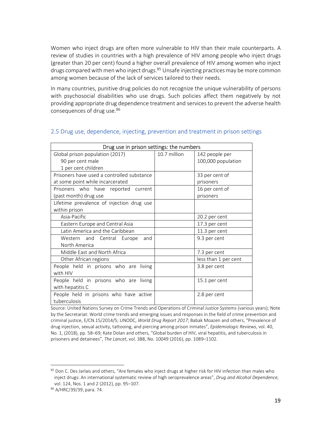Women who inject drugs are often more vulnerable to HIV than their male counterparts. A review of studies in countries with a high prevalence of HIV among people who inject drugs (greater than 20 per cent) found a higher overall prevalence of HIV among women who inject drugs compared with men who inject drugs.<sup>85</sup> Unsafe injecting practices may be more common among women because of the lack of services tailored to their needs.

In many countries, punitive drug policies do not recognize the unique vulnerability of persons with psychosocial disabilities who use drugs. Such policies affect them negatively by not providing appropriate drug dependence treatment and services to prevent the adverse health consequences of drug use.<sup>86</sup>

| Drug use in prison settings: the numbers   |              |                      |  |
|--------------------------------------------|--------------|----------------------|--|
| Global prison population (2017)            | 10.7 million | 142 people per       |  |
| 90 per cent male                           |              | 100,000 population   |  |
| 1 per cent children                        |              |                      |  |
| Prisoners have used a controlled substance |              | 33 per cent of       |  |
| at some point while incarcerated           |              | prisoners            |  |
| Prisoners who have reported current        |              | 16 per cent of       |  |
| (past month) drug use                      |              | prisoners            |  |
| Lifetime prevalence of injection drug use  |              |                      |  |
| within prison                              |              |                      |  |
| Asia-Pacific                               |              | 20.2 per cent        |  |
| Eastern Europe and Central Asia            |              | 17.3 per cent        |  |
| Latin America and the Caribbean            |              | 11.3 per cent        |  |
| Western and Central Europe<br>and          |              | 9.3 per cent         |  |
| North America                              |              |                      |  |
| Middle East and North Africa               |              | 7.3 per cent         |  |
| Other African regions                      |              | less than 1 per cent |  |
| People held in prisons who are living      |              | 3.8 per cent         |  |
| with HIV                                   |              |                      |  |
| People held in prisons who are living      |              | 15.1 per cent        |  |
| with hepatitis C                           |              |                      |  |
| People held in prisons who have active     |              | 2.8 per cent         |  |
| tuberculosis                               |              |                      |  |

#### 2.5 Drug use, dependence, injecting, prevention and treatment in prison settings

Source: United Nations Survey on Crime Trends and Operations of Criminal Justice Systems (various years); Note by the Secretariat: World crime trends and emerging issues and responses in the field of crime prevention and criminal justice, E/CN.15/2014/5; UNODC, *World Drug Report 2017*; Babak Moazen and others, "Prevalence of drug injection, sexual activity, tattooing, and piercing among prison inmates", *Epidemiologic Reviews*, vol. 40, No. 1, (2018), pp. 58–69; Kate Dolan and others, "Global burden of HIV, viral hepatitis, and tuberculosis in prisoners and detainees", *The Lancet*, vol. 388, No. 10049 (2016), pp. 1089–1102.

<sup>&</sup>lt;sup>85</sup> Don C. Des Jarlais and others, "Are females who inject drugs at higher risk for HIV infection than males who inject drugs: An international systematic review of high seroprevalence areas", *Drug and Alcohol Dependence*, vol. 124, Nos. 1 and 2 (2012), pp. 95–107.

<sup>86</sup> A/HRC/39/39, para. 74.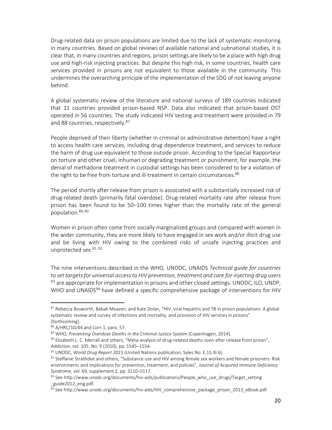Drug-related data on prison populations are limited due to the lack of systematic monitoring in many countries. Based on global reviews of available national and subnational studies, it is clear that, in many countries and regions, prison settings are likely to be a place with high drug use and high-risk injecting practices. But despite this high risk, in some countries, health care services provided in prisons are not equivalent to those available in the community. This undermines the overarching principle of the implementation of the SDG of not leaving anyone behind.

A global systematic review of the literature and national surveys of 189 countries indicated that 11 countries provided prison-based NSP. Data also indicated that prison-based OST operated in 56 countries. The study indicated HIV testing and treatment were provided in 79 and 88 countries, respectively.<sup>87</sup>

People deprived of their liberty (whether in criminal or administrative detention) have a right to access health care services, including drug dependence treatment, and services to reduce the harm of drug use equivalent to those outside prison. According to the Special Rapporteur on torture and other cruel, inhuman or degrading treatment or punishment, for example, the denial of methadone treatment in custodial settings has been considered to be a violation of the right to be free from torture and ill-treatment in certain circumstances.<sup>88</sup>

The period shortly after release from prison is associated with a substantially increased risk of drug-related death (primarily fatal overdose). Drug-related mortality rate after release from prison has been found to be 50–100 times higher than the mortality rate of the general population. 89, 90

Women in prison often come from socially marginalized groups and compared with women in the wider community, they are more likely to have engaged in sex work and/or illicit drug use and be living with HIV owing to the combined risks of unsafe injecting practices and unprotected sex.<sup>91, 92</sup>

The nine interventions described in the WHO, UNODC, UNAIDS *Technical guide for countries to set targets for universal access to HIV prevention, treatment and care for injecting drug users*  $93$  are appropriate for implementation in prisons and other closed settings. UNODC, ILO, UNDP, WHO and UNAIDS<sup>94</sup> have defined a specific comprehensive package of interventions for HIV

<sup>87</sup> Rebecca Bosworth, Babak Moazen, and Kate Dolan, "HIV, viral hepatitis and TB in prison populations: A global systematic review and survey of infections and mortality, and provision of HIV services in prisons" (forthcoming).

<sup>88</sup> A/HRC/10/44 and Corr.1, para. 57.

<sup>89</sup> WHO, *Preventing Overdose Deaths in the Criminal Justice System* (Copenhagen, 2014).

<sup>&</sup>lt;sup>90</sup> Elizabeth L. C. Merrall and others, "Meta-analysis of drug-related deaths soon after release from prison", *Addiction*, vol. 105, No. 9 (2010), pp. 1545–1554.

<sup>91</sup> UNODC, *World Drug Report 2015* (United Nations publication, Sales No. E.15.XI.6).

<sup>92</sup> Steffanie Strathdee and others, "Substance use and HIV among female sex workers and female prisoners: Risk environments and implications for prevention, treatment, and policies", *Journal of Acquired Immune Deficiency Syndrome*, vol. 69, supplement 2, pp. S110–S117.

 $93$  See http://www.unodc.org/documents/hiv-aids/publications/People\_who\_use\_drugs/Target\_setting guide2012\_eng.pdf.

<sup>94</sup> See http://www.unodc.org/documents/hiv-aids/HIV\_comprehensive\_package\_prison\_2013\_eBook.pdf.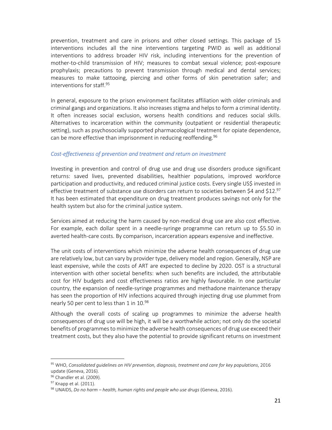prevention, treatment and care in prisons and other closed settings. This package of 15 interventions includes all the nine interventions targeting PWID as well as additional interventions to address broader HIV risk, including interventions for the prevention of mother-to-child transmission of HIV; measures to combat sexual violence; post-exposure prophylaxis; precautions to prevent transmission through medical and dental services; measures to make tattooing, piercing and other forms of skin penetration safer; and interventions for staff.<sup>95</sup>

In general, exposure to the prison environment facilitates affiliation with older criminals and criminal gangs and organizations. It also increases stigma and helps to form a criminal identity. It often increases social exclusion, worsens health conditions and reduces social skills. Alternatives to incarceration within the community (outpatient or residential therapeutic setting), such as psychosocially supported pharmacological treatment for opiate dependence, can be more effective than imprisonment in reducing reoffending.<sup>96</sup>

#### *Cost-effectiveness of prevention and treatment and return on investment*

Investing in prevention and control of drug use and drug use disorders produce significant returns: saved lives, prevented disabilities, healthier populations, improved workforce participation and productivity, and reduced criminal justice costs. Every single US\$ invested in effective treatment of substance use disorders can return to societies between \$4 and \$12.97 It has been estimated that expenditure on drug treatment produces savings not only for the health system but also for the criminal justice system.

Services aimed at reducing the harm caused by non-medical drug use are also cost effective. For example, each dollar spent in a needle-syringe programme can return up to \$5.50 in averted health-care costs. By comparison, incarceration appears expensive and ineffective.

The unit costs of interventions which minimize the adverse health consequences of drug use are relatively low, but can vary by provider type, delivery model and region. Generally, NSP are least expensive, while the costs of ART are expected to decline by 2020. OST is a structural intervention with other societal benefits: when such benefits are included, the attributable cost for HIV budgets and cost effectiveness ratios are highly favourable. In one particular country, the expansion of needle-syringe programmes and methadone maintenance therapy has seen the proportion of HIV infections acquired through injecting drug use plummet from nearly 50 per cent to less than 1 in  $10.^{98}$ 

Although the overall costs of scaling up programmes to minimize the adverse health consequences of drug use will be high, it will be a worthwhile action; not only do the societal benefits of programmes to minimize the adverse health consequences of drug use exceed their treatment costs, but they also have the potential to provide significant returns on investment

<sup>95</sup> WHO, *Consolidated guidelines on HIV prevention, diagnosis, treatment and care for key populations*, 2016 update (Geneva, 2016).

<sup>&</sup>lt;sup>96</sup> Chandler et al. (2009).

<sup>97</sup> Knapp et al. (2011).

<sup>98</sup> UNAIDS, *Do no harm – health, human rights and people who use drugs* (Geneva, 2016).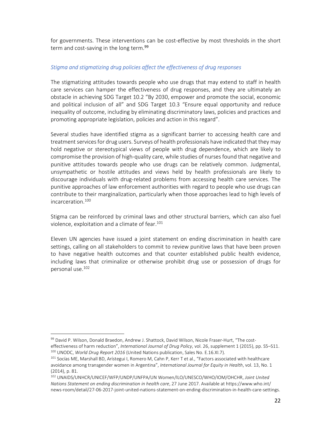for governments. These interventions can be cost-effective by most thresholds in the short term and cost-saving in the long term.<sup>99</sup>

#### *Stigma and stigmatizing drug policies affect the effectiveness of drug responses*

The stigmatizing attitudes towards people who use drugs that may extend to staff in health care services can hamper the effectiveness of drug responses, and they are ultimately an obstacle in achieving SDG Target 10.2 "By 2030, empower and promote the social, economic and political inclusion of all" and SDG Target 10.3 "Ensure equal opportunity and reduce inequality of outcome, including by eliminating discriminatory laws, policies and practices and promoting appropriate legislation, policies and action in this regard".

Several studies have identified stigma as a significant barrier to accessing health care and treatment services for drug users. Surveys of health professionals have indicated that they may hold negative or stereotypical views of people with drug dependence, which are likely to compromise the provision of high-quality care, while studies of nurses found that negative and punitive attitudes towards people who use drugs can be relatively common. Judgmental, unsympathetic or hostile attitudes and views held by health professionals are likely to discourage individuals with drug-related problems from accessing health care services. The punitive approaches of law enforcement authorities with regard to people who use drugs can contribute to their marginalization, particularly when those approaches lead to high levels of incarceration.<sup>100</sup>

Stigma can be reinforced by criminal laws and other structural barriers, which can also fuel violence, exploitation and a climate of fear.<sup>101</sup>

Eleven UN agencies have issued a joint statement on ending discrimination in health care settings, calling on all stakeholders to commit to review punitive laws that have been proven to have negative health outcomes and that counter established public health evidence, including laws that criminalize or otherwise prohibit drug use or possession of drugs for personal use.<sup>102</sup>

<sup>99</sup> David P. Wilson, Donald Braedon, Andrew J. Shattock, David Wilson, Nicole Fraser-Hurt, "The costeffectiveness of harm reduction", *International Journal of Drug Policy*, vol. 26, supplement 1 (2015), pp. S5–S11. <sup>100</sup> UNODC, *World Drug Report 2016* (United Nations publication, Sales No. E.16.XI.7).

<sup>&</sup>lt;sup>101</sup> Socías ME, Marshall BD, Arístegui I, Romero M, Cahn P, Kerr T et al., "Factors associated with healthcare avoidance among transgender women in Argentina", *International Journal for Equity in Health*, vol. 13, No. 1 (2014), p. 81.

<sup>102</sup> UNAIDS/UNHCR/UNICEF/WFP/UNDP/UNFPA/UN Women/ILO/UNESCO/WHO/IOM/OHCHR, *Joint United Nations Statement on ending discrimination in health care*, 27 June 2017. Available at https://www.who.int/ news-room/detail/27-06-2017-joint-united-nations-statement-on-ending-discrimination-in-health-care-settings.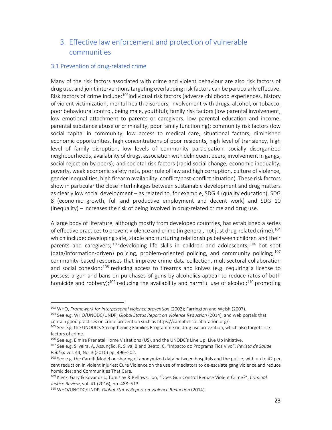### 3. Effective law enforcement and protection of vulnerable communities

#### 3.1 Prevention of drug-related crime

-

Many of the risk factors associated with crime and violent behaviour are also risk factors of drug use, and joint interventions targeting overlapping risk factors can be particularly effective. Risk factors of crime include:<sup>103</sup>individual risk factors (adverse childhood experiences, history of violent victimization, mental health disorders, involvement with drugs, alcohol, or tobacco, poor behavioural control, being male, youthful); family risk factors (low parental involvement, low emotional attachment to parents or caregivers, low parental education and income, parental substance abuse or criminality, poor family functioning); community risk factors (low social capital in community, low access to medical care, situational factors, diminished economic opportunities, high concentrations of poor residents, high level of transiency, high level of family disruption, low levels of community participation, socially disorganized neighbourhoods, availability of drugs, association with delinquent peers, involvement in gangs, social rejection by peers); and societal risk factors (rapid social change, economic inequality, poverty, weak economic safety nets, poor rule of law and high corruption, culture of violence, gender inequalities, high firearm availability, conflict/post-conflict situation). These risk factors show in particular the close interlinkages between sustainable development and drug matters as clearly low social development – as related to, for example, SDG 4 (quality education), SDG 8 (economic growth, full and productive employment and decent work) and SDG 10 (inequality) – increases the risk of being involved in drug-related crime and drug use.

A large body of literature, although mostly from developed countries, has established a series of effective practices to prevent violence and crime (in general, not just drug-related crime), 104 which include: developing safe, stable and nurturing relationships between children and their parents and caregivers; <sup>105</sup> developing life skills in children and adolescents; <sup>106</sup> hot spot (data/information-driven) policing, problem-oriented policing, and community policing;  $107$ community-based responses that improve crime data collection, multisectoral collaboration and social cohesion;  $108$  reducing access to firearms and knives (e.g. requiring a license to possess a gun and bans on purchases of guns by alcoholics appear to reduce rates of both homicide and robbery);<sup>109</sup> reducing the availability and harmful use of alcohol;<sup>110</sup> promoting

<sup>&</sup>lt;sup>103</sup> WHO, Framework for interpersonal violence prevention (2002); Farrington and Welsh (2007).

<sup>104</sup> See e.g. WHO/UNODC/UNDP, *Global Status Report on Violence Reduction* (2014), and web portals that contain good practices on crime prevention such as https://campbellcollaboration.org/.

<sup>&</sup>lt;sup>105</sup> See e.g. the UNODC's Strengthening Families Programme on drug use prevention, which also targets risk factors of crime.

<sup>106</sup> See e.g. Elmira Prenatal Home Visitations (US), and the UNODC's Line Up, Live Up initiative.

<sup>107</sup> See e.g. Silveira, A, Assunção, R, Silva, B and Beato, C, "Impacto do Programa Fica Vivo", *Revista de Saúde Pública* vol. 44, No. 3 (2010) pp. 496–502.

<sup>&</sup>lt;sup>108</sup> See e.g. the Cardiff Model on sharing of anonymized data between hospitals and the police, with up to 42 per cent reduction in violent injuries; Cure Violence on the use of mediators to de-escalate gang violence and reduce homicides; and Communities That Care.

<sup>109</sup> Kleck, Gary & Kovandzic, Tomislav & Bellows, Jon, "Does Gun Control Reduce Violent Crime?", *Criminal Justice Review*, vol. 41 (2016), pp. 488–513.

<sup>110</sup> WHO/UNODC/UNDP, *Global Status Report on Violence Reduction* (2014).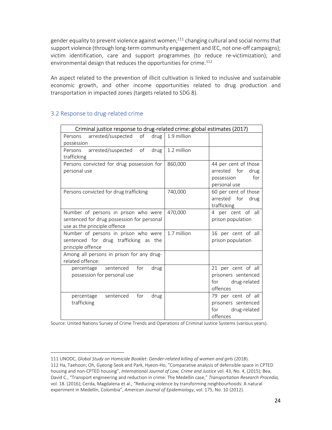gender equality to prevent violence against women; $^{111}$  changing cultural and social norms that support violence (through long-term community engagement and IEC, not one-off campaigns); victim identification, care and support programmes (to reduce re-victimization); and environmental design that reduces the opportunities for crime.<sup>112</sup>

An aspect related to the prevention of illicit cultivation is linked to inclusive and sustainable economic growth, and other income opportunities related to drug production and transportation in impacted zones (targets related to SDG 8).

| Criminal justice response to drug-related crime: global estimates (2017)                                           |             |                                                                                   |
|--------------------------------------------------------------------------------------------------------------------|-------------|-----------------------------------------------------------------------------------|
| Persons arrested/suspected of<br>drug<br>possession                                                                | 1.9 million |                                                                                   |
| arrested/suspected of<br>Persons<br>drug<br>trafficking                                                            | 1.2 million |                                                                                   |
| Persons convicted for drug possession for<br>personal use                                                          | 860,000     | 44 per cent of those<br>arrested for<br>drug<br>for<br>possession<br>personal use |
| Persons convicted for drug trafficking                                                                             | 740,000     | 60 per cent of those<br>arrested for<br>drug<br>trafficking                       |
| Number of persons in prison who were<br>sentenced for drug possession for personal<br>use as the principle offence | 470,000     | 4 per cent of all<br>prison population                                            |
| Number of persons in prison who were<br>sentenced for drug trafficking as the<br>principle offence                 | 1.7 million | 16 per cent of all<br>prison population                                           |
| Among all persons in prison for any drug-<br>related offence:                                                      |             |                                                                                   |
| percentage sentenced<br>for<br>drug<br>possession for personal use                                                 |             | 21 per cent of all<br>prisoners sentenced<br>drug-related<br>for<br>offences      |
| sentenced<br>for<br>drug<br>percentage<br>trafficking                                                              |             | 79 per cent of all<br>prisoners sentenced<br>drug-related<br>for<br>offences      |

#### 3.2 Response to drug-related crime

<u>.</u>

Source: United Nations Survey of Crime Trends and Operations of Criminal Justice Systems (various years).

<sup>111</sup> UNODC, Global Study on Homicide Booklet: Gender-related killing of women and girls (2018). 112 Ha, Taehoon; Oh, Gyeong-Seok and Park, Hyeon-Ho, "Comparative analysis of defensible space in CPTED housing and non-CPTED housing", *International Journal of Law, Crime and Justice* vol. 43, No. 4, (2015); Bea, David C., "Transport engineering and reduction in crime: The Medellín case," *Transportation Research Procedia,* vol. 18. (2016); Cerda, Magdalena et al., "Reducing violence by transforming neighbourhoods: A natural experiment in Medellín, Colombia", *American Journal of Epidemiology*, vol. 175, No. 10 (2012).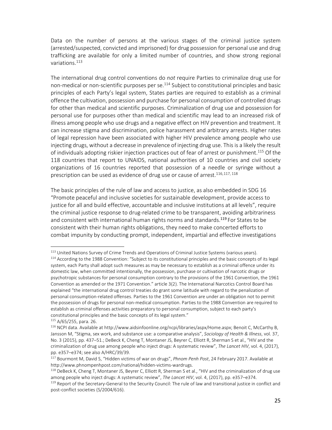Data on the number of persons at the various stages of the criminal justice system (arrested/suspected, convicted and imprisoned) for drug possession for personal use and drug trafficking are available for only a limited number of countries, and show strong regional variations.<sup>113</sup>

The international drug control conventions do *not* require Parties to criminalize drug use for non-medical or non-scientific purposes per se.<sup>114</sup> Subject to constitutional principles and basic principles of each Party's legal system, States parties are required to establish as a criminal offence the cultivation, possession and purchase for personal consumption of controlled drugs for other than medical and scientific purposes. Criminalization of drug use and possession for personal use for purposes other than medical and scientific may lead to an increased risk of illness among people who use drugs and a negative effect on HIV prevention and treatment. It can increase stigma and discrimination, police harassment and arbitrary arrests. Higher rates of legal repression have been associated with higher HIV prevalence among people who use injecting drugs, without a decrease in prevalence of injecting drug use. This is a likely the result of individuals adopting riskier injection practices out of fear of arrest or punishment.<sup>115</sup> Of the 118 countries that report to UNAIDS, national authorities of 10 countries and civil society organizations of 16 countries reported that possession of a needle or syringe without a prescription can be used as evidence of drug use or cause of arrest.<sup>116,117,118</sup>

The basic principles of the rule of law and access to justice, as also embedded in SDG 16 "Promote peaceful and inclusive societies for sustainable development, provide access to justice for all and build effective, accountable and inclusive institutions at all levels", require the criminal justice response to drug-related crime to be transparent, avoiding arbitrariness and consistent with international human rights norms and standards.<sup>119</sup> For States to be consistent with their human rights obligations, they need to make concerted efforts to combat impunity by conducting prompt, independent, impartial and effective investigations

<u>.</u>

<sup>&</sup>lt;sup>113</sup> United Nations Survey of Crime Trends and Operations of Criminal Justice Systems (various years).

<sup>114</sup> According to the 1988 Convention: "Subject to its constitutional principles and the basic concepts of its legal system, each Party shall adopt such measures as may be necessary to establish as a criminal offence under its domestic law, when committed intentionally, the possession, purchase or cultivation of narcotic drugs or psychotropic substances for personal consumption contrary to the provisions of the 1961 Convention, the 1961 Convention as amended or the 1971 Convention." article 3(2). The International Narcotics Control Board has explained "the international drug control treaties do grant some latitude with regard to the penalization of personal consumption-related offenses. Parties to the 1961 Convention are under an obligation not to permit the possession of drugs for personal non-medical consumption. Parties to the 1988 Convention are required to establish as criminal offenses activities preparatory to personal consumption, subject to each party's constitutional principles and the basic concepts of its legal system."

 $115$  A/65/255, para. 26.

<sup>116</sup> NCPI data. Available at http://www.aidsinfoonline.org/ncpi/libraries/aspx/Home.aspx; Benoit C, McCarthy B, Jansson M, "Stigma, sex work, and substance use: a comparative analysis", *Sociology of Health & Illness*, vol. 37, No. 3 (2015), pp. 437–51.; DeBeck K, Cheng T, Montaner JS, Beyrer C, Elliott R, Sherman S et al., "HIV and the criminalization of drug use among people who inject drugs: A systematic review", *The Lancet HIV*, vol. 4, (2017), pp. e357–e374; see also A/HRC/39/39.

<sup>117</sup> Bourmont M, David S, "Hidden victims of war on drugs", *Phnom Penh Post*, 24 February 2017. Available at http://www.phnompenhpost.com/national/hidden-victims-wardrugs.

 $118$  DeBeck K, Cheng T, Montaner JS, Beyrer C, Elliott R, Sherman S et al., "HIV and the criminalization of drug use among people who inject drugs: A systematic review", *The Lancet HIV*, vol. 4, (2017), pp. e357–e374.

<sup>&</sup>lt;sup>119</sup> Report of the Secretary-General to the Security Council: The rule of law and transitional justice in conflict and post-conflict societies (S/2004/616).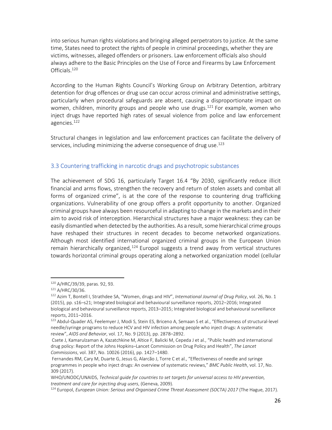into serious human rights violations and bringing alleged perpetrators to justice. At the same time, States need to protect the rights of people in criminal proceedings, whether they are victims, witnesses, alleged offenders or prisoners. Law enforcement officials also should always adhere to the Basic Principles on the Use of Force and Firearms by Law Enforcement Officials.<sup>120</sup>

According to the Human Rights Council's Working Group on Arbitrary Detention, arbitrary detention for drug offences or drug use can occur across criminal and administrative settings, particularly when procedural safeguards are absent, causing a disproportionate impact on women, children, minority groups and people who use drugs.<sup>121</sup> For example, women who inject drugs have reported high rates of sexual violence from police and law enforcement agencies.<sup>122</sup>

Structural changes in legislation and law enforcement practices can facilitate the delivery of services, including minimizing the adverse consequence of drug use.<sup>123</sup>

#### 3.3 Countering trafficking in narcotic drugs and psychotropic substances

The achievement of SDG 16, particularly Target 16.4 "By 2030, significantly reduce illicit financial and arms flows, strengthen the recovery and return of stolen assets and combat all forms of organized crime", is at the core of the response to countering drug trafficking organizations. Vulnerability of one group offers a profit opportunity to another. Organized criminal groups have always been resourceful in adapting to change in the markets and in their aim to avoid risk of interception. Hierarchical structures have a major weakness: they can be easily dismantled when detected by the authorities. As a result, some hierarchical crime groups have reshaped their structures in recent decades to become networked organizations. Although most identified international organized criminal groups in the European Union remain hierarchically organized,<sup>124</sup> Europol suggests a trend away from vertical structures towards horizontal criminal groups operating along a networked organization model (cellular

<sup>120</sup> A/HRC/39/39, paras. 92, 93.

<sup>121</sup> A/HRC/30/36.

<sup>122</sup> Azim T, Bontell I, Strathdee SA, "Women, drugs and HIV", *International Journal of Drug Policy*, vol. 26, No. 1 (2015), pp. s16–s21; Integrated biological and behavioural surveillance reports, 2012–2016; Integrated biological and behavioural surveillance reports, 2013–2015; Integrated biological and behavioural surveillance reports, 2011–2016.

<sup>123</sup> Abdul-Quader AS, Feelemyer J, Modi S, Stein ES, Briceno A, Semaan S et al., "Effectiveness of structural-level needle/syringe programs to reduce HCV and HIV infection among people who inject drugs: A systematic review", *AIDS and Behavior*, vol. 17, No. 9 (2013), pp. 2878–2892.

Csete J, Kamarulzaman A, Kazatchkine M, Altice F, Balicki M, Cepeda J et al., "Public health and international drug policy: Report of the Johns Hopkins–Lancet Commission on Drug Policy and Health", *The Lancet Commissions*, vol. 387, No. 10026 (2016), pp. 1427–1480.

Fernandes RM, Cary M, Duarte G, Jesus G, Alarcão J, Torre C et al., "Effectiveness of needle and syringe programmes in people who inject drugs: An overview of systematic reviews," *BMC Public Health*, vol. 17, No. 309 (2017).

WHO/UNODC/UNAIDS, *Technical guide for countries to set targets for universal access to HIV prevention, treatment and care for injecting drug users*, (Geneva, 2009).

<sup>124</sup> Europol, *European Union: Serious and Organised Crime Threat Assessment (SOCTA) 2017* (The Hague, 2017).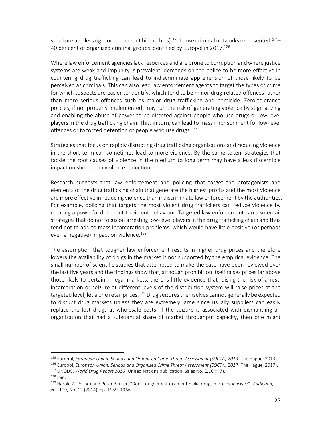structure and less rigid or permanent hierarchies).<sup>125</sup> Loose criminal networks represented 30– 40 per cent of organized criminal groups identified by Europol in 2017.<sup>126</sup>

Where law enforcement agencies lack resources and are prone to corruption and where justice systems are weak and impunity is prevalent, demands on the police to be more effective in countering drug trafficking can lead to indiscriminate apprehension of those likely to be perceived as criminals. This can also lead law enforcement agents to target the types of crime for which suspects are easier to identify, which tend to be minor drug-related offences rather than more serious offences such as major drug trafficking and homicide. Zero-tolerance policies, if not properly implemented, may run the risk of generating violence by stigmatizing and enabling the abuse of power to be directed against people who use drugs or low-level players in the drug trafficking chain. This, in turn, can lead to mass imprisonment for low-level offences or to forced detention of people who use drugs.<sup>127</sup>

Strategies that focus on rapidly disrupting drug trafficking organizations and reducing violence in the short term can sometimes lead to more violence. By the same token, strategies that tackle the root causes of violence in the medium to long term may have a less discernible impact on short-term violence reduction.

Research suggests that law enforcement and policing that target the protagonists and elements of the drug trafficking chain that generate the highest profits and the most violence are more effective in reducing violence than indiscriminate law enforcement by the authorities. For example, policing that targets the most violent drug traffickers can reduce violence by creating a powerful deterrent to violent behaviour. Targeted law enforcement can also entail strategies that do not focus on arresting low-level players in the drug trafficking chain and thus tend not to add to mass incarceration problems, which would have little positive (or perhaps even a negative) impact on violence.<sup>128</sup>

The assumption that tougher law enforcement results in higher drug prices and therefore lowers the availability of drugs in the market is not supported by the empirical evidence. The small number of scientific studies that attempted to make the case have been reviewed over the last five years and the findings show that, although prohibition itself raises prices far above those likely to pertain in legal markets, there is little evidence that raising the risk of arrest, incarceration or seizure at different levels of the distribution system will raise prices at the targeted level, let alone retail prices.<sup>129</sup> Drug seizures themselves cannot generally be expected to disrupt drug markets unless they are extremely large since usually suppliers can easily replace the lost drugs at wholesale costs. If the seizure is associated with dismantling an organization that had a substantial share of market throughput capacity, then one might

<u>.</u>

<sup>125</sup> Europol, *European Union: Serious and Organised Crime Threat Assessment (SOCTA) 2013* (The Hague, 2013).

<sup>126</sup> Europol, *European Union: Serious and Organised Crime Threat Assessment (SOCTA) 2017* (The Hague, 2017). <sup>127</sup> UNODC, *World Drug Report 2016* (United Nations publication, Sales No. E.16.XI.7).

 $128$  Ibid.

<sup>129</sup> Harold A. Pollack and Peter Reuter, "Does tougher enforcement make drugs more expensive?", *Addiction*, vol. 109, No. 12 (2014), pp. 1959–1966.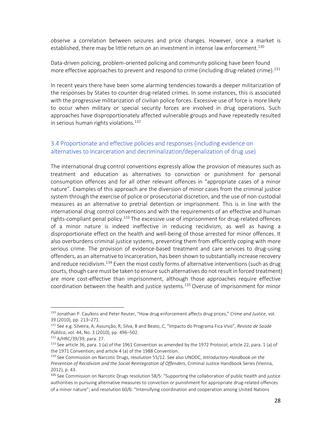observe a correlation between seizures and price changes. However, once a market is established, there may be little return on an investment in intense law enforcement.<sup>130</sup>

Data-driven policing, problem-oriented policing and community policing have been found more effective approaches to prevent and respond to crime (including drug-related crime).<sup>131</sup>

In recent years there have been some alarming tendencies towards a deeper militarization of the responses by States to counter drug-related crimes. In some instances, this is associated with the progressive militarization of civilian police forces. Excessive use of force is more likely to occur when military or special security forces are involved in drug operations. Such approaches have disproportionately affected vulnerable groups and have repeatedly resulted in serious human rights violations. $132$ 

#### 3.4 Proportionate and effective policies and responses (including evidence on alternatives to incarceration and decriminalization/depenalization of drug use)

The international drug control conventions expressly allow the provision of measures such as treatment and education as alternatives to conviction or punishment for personal consumption offences and for all other relevant offences in "appropriate cases of a minor nature". Examples of this approach are the diversion of minor cases from the criminal justice system through the exercise of police or prosecutorial discretion, and the use of non-custodial measures as an alternative to pretrial detention or imprisonment. This is in line with the international drug control conventions and with the requirements of an effective and human rights-compliant penal policy.<sup>133</sup> The excessive use of imprisonment for drug-related offences of a minor nature is indeed ineffective in reducing recidivism, as well as having a disproportionate effect on the health and well-being of those arrested for minor offences. It also overburdens criminal justice systems, preventing them from efficiently coping with more serious crime. The provision of evidence-based treatment and care services to drug-using offenders, as an alternative to incarceration, has been shown to substantially increase recovery and reduce recidivism.<sup>134</sup> Even the most costly forms of alternative interventions (such as drug courts, though care must be taken to ensure such alternatives do not result in forced treatment) are more cost-effective than imprisonment, although those approaches require effective coordination between the health and justice systems. <sup>135</sup> Overuse of imprisonment for minor

.

<sup>130</sup> Jonathan P. Caulkins and Peter Reuter, "How drug enforcement affects drug prices," *Crime and Justice*, vol. 39 (2010), pp. 213–271.

<sup>131</sup> See e.g. Silveira, A, Assunção, R, Silva, B and Beato, C, "Impacto do Programa Fica Vivo", *Revista de Saúde Pública*, vol. 44, No. 3 (2010), pp. 496–502.

<sup>132</sup> A/HRC/39/39, para. 27.

 $133$  See article 36, para. 1 (a) of the 1961 Convention as amended by the 1972 Protocol; article 22, para. 1 (a) of the 1971 Convention; and article 4 (a) of the 1988 Convention.

<sup>134</sup> See Commission on Narcotic Drugs, resolution 55/12. See also UNODC, *Introductory Handbook on the Prevention of Recidivism and the Social Reintegration of Offenders*, Criminal Justice Handbook Series (Vienna, 2012), p. 43.

<sup>&</sup>lt;sup>135</sup> See Commission on Narcotic Drugs resolution 58/5: "Supporting the collaboration of public health and justice authorities in pursuing alternative measures to conviction or punishment for appropriate drug-related offences of a minor nature"; and resolution 60/6: "Intensifying coordination and cooperation among United Nations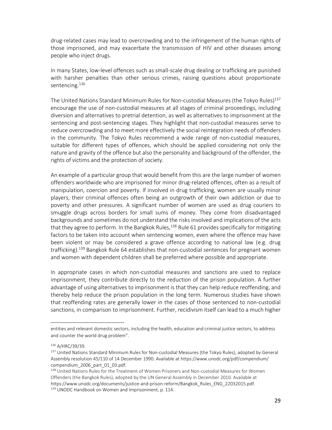drug-related cases may lead to overcrowding and to the infringement of the human rights of those imprisoned, and may exacerbate the transmission of HIV and other diseases among people who inject drugs.

In many States, low-level offences such as small-scale drug dealing or trafficking are punished with harsher penalties than other serious crimes, raising questions about proportionate sentencing.<sup>136</sup>

The United Nations Standard Minimum Rules for Non-custodial Measures (the Tokyo Rules)<sup>137</sup> encourage the use of non-custodial measures at all stages of criminal proceedings, including diversion and alternatives to pretrial detention, as well as alternatives to imprisonment at the sentencing and post-sentencing stages. They highlight that non-custodial measures serve to reduce overcrowding and to meet more effectively the social reintegration needs of offenders in the community. The Tokyo Rules recommend a wide range of non-custodial measures, suitable for different types of offences, which should be applied considering not only the nature and gravity of the offence but also the personality and background of the offender, the rights of victims and the protection of society.

An example of a particular group that would benefit from this are the large number of women offenders worldwide who are imprisoned for minor drug-related offences, often as a result of manipulation, coercion and poverty. If involved in drug trafficking, women are usually minor players, their criminal offences often being an outgrowth of their own addiction or due to poverty and other pressures. A significant number of women are used as drug couriers to smuggle drugs across borders for small sums of money. They come from disadvantaged backgrounds and sometimes do not understand the risks involved and implications of the acts that they agree to perform. In the Bangkok Rules,<sup>138</sup> Rule 61 provides specifically for mitigating factors to be taken into account when sentencing women, even where the offence may have been violent or may be considered a grave offence according to national law (e.g. drug trafficking).<sup>139</sup> Bangkok Rule 64 establishes that non-custodial sentences for pregnant women and women with dependent children shall be preferred where possible and appropriate.

In appropriate cases in which non-custodial measures and sanctions are used to replace imprisonment, they contribute directly to the reduction of the prison population. A further advantage of using alternatives to imprisonment is that they can help reduce reoffending, and thereby help reduce the prison population in the long term. Numerous studies have shown that reoffending rates are generally lower in the cases of those sentenced to non-custodial sanctions, in comparison to imprisonment. Further, recidivism itself can lead to a much higher

entities and relevant domestic sectors, including the health, education and criminal justice sectors, to address and counter the world drug problem".

<sup>136</sup> A/HRC/39/39.

<sup>137</sup> United Nations Standard Minimum Rules for Non-custodial Measures (the Tokyo Rules), adopted by General Assembly resolution 45/110 of 14 December 1990. Available at https://www.unodc.org/pdf/compendium/ compendium\_2006\_part\_01\_03.pdf.

<sup>138</sup> United Nations Rules for the Treatment of Women Prisoners and Non-custodial Measures for Women Offenders (the Bangkok Rules), adopted by the UN General Assembly in December 2010. Available at https://www.unodc.org/documents/justice-and-prison-reform/Bangkok\_Rules\_ENG\_22032015.pdf. 139 UNODC Handbook on Women and Imprisonment, p. 114.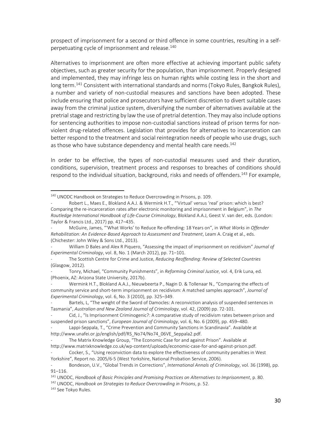prospect of imprisonment for a second or third offence in some countries, resulting in a selfperpetuating cycle of imprisonment and release.<sup>140</sup>

Alternatives to imprisonment are often more effective at achieving important public safety objectives, such as greater security for the population, than imprisonment. Properly designed and implemented, they may infringe less on human rights while costing less in the short and long term.<sup>141</sup> Consistent with international standards and norms (Tokyo Rules, Bangkok Rules), a number and variety of non-custodial measures and sanctions have been adopted. These include ensuring that police and prosecutors have sufficient discretion to divert suitable cases away from the criminal justice system, diversifying the number of alternatives available at the pretrial stage and restricting by law the use of pretrial detention. They may also include options for sentencing authorities to impose non-custodial sanctions instead of prison terms for nonviolent drug-related offences. Legislation that provides for alternatives to incarceration can better respond to the treatment and social reintegration needs of people who use drugs, such as those who have substance dependency and mental health care needs.<sup>142</sup>

In order to be effective, the types of non-custodial measures used and their duration, conditions, supervision, treatment process and responses to breaches of conditions should respond to the individual situation, background, risks and needs of offenders.<sup>143</sup> For example,

.

<sup>&</sup>lt;sup>140</sup> UNODC Handbook on Strategies to Reduce Overcrowding in Prisons, p. 109.

Robert L., Maes E., Blokland A.A.J. & Wermink H.T., "'Virtual' versus 'real' prison: which is best? Comparing the re-incarceration rates after electronic monitoring and imprisonment in Belgium", in *The Routledge International Handbook of Life-Course Criminology*, Blokland A.A.J, Geest V. van der, eds. (London: Taylor & Francis Ltd., 2017) pp. 417–435.

<sup>-</sup> McGuire, James, "'What Works' to Reduce Re-offending: 18 Years on", in *What Works in Offender Rehabilitation: An Evidence-Based Approach to Assessment and Treatment*, Leam A. Craig et al., eds. (Chichester: John Wiley & Sons Ltd., 2013).

<sup>-</sup> William D Bales and Alex R Piquero, "Assessing the impact of imprisonment on recidivism" *Journal of Experimental Criminology*, vol. 8, No. 1 (March 2012), pp. 71–101.

<sup>-</sup> The Scottish Centre for Crime and Justice, *Reducing Reoffending: Review of Selected Countries* (Glasgow, 2012).

<sup>-</sup> Tonry, Michael, "Community Punishments", in *Reforming Criminal Justice*, vol. 4, Erik Luna, ed. (Phoenix, AZ: Arizona State University, 2017b).

Wermink H.T., Blokland A.A.J., Nieuwbeerta P., Nagin D. & Tollenaar N., "Comparing the effects of community service and short-term imprisonment on recidivism: A matched samples approach", *Journal of Experimental Criminology*, vol. 6, No. 3 (2010), pp. 325–349.

Bartels, L, "The weight of the Sword of Damocles: A reconviction analysis of suspended sentences in Tasmania", *Australian and New Zealand Journal of Criminology*, vol. 42, (2009) pp. 72-101.

Cid, J., "Is Imprisonment Criminogenic?: A comparative study of recidivism rates between prison and suspended prison sanctions", *European Journal of Criminology*, vol. 6, No. 6 (2009), pp. 459–480.

Lappi-Seppala, T., "Crime Prevention and Community Sanctions in Scandinavia". Available at http://www.unafei.or.jp/english/pdf/RS\_No74/No74\_06VE\_Seppala2.pdf.

The Matrix Knowledge Group, "The Economic Case for and against Prison". Available at http://www.matrixknowledge.co.uk/wp-content/uploads/economic-case-for-and-against-prison.pdf.

<sup>-</sup> Cocker, S., "Using reconviction data to explore the effectiveness of community penalties in West Yorkshire", Report no. 2005/6-5 (West Yorkshire, National Probation Service, 2006).

<sup>-</sup> Bondeson, U.V., "Global Trends in Corrections", *International Annals of Criminology*, vol. 36 (1998), pp. 91–116.

<sup>141</sup> UNODC, *Handbook of Basic Principles and Promising Practices on Alternatives to Imprisonment*, p. 80.

<sup>142</sup> UNODC, *Handbook on Strategies to Reduce Overcrowding in Prisons*, p. 52.

<sup>143</sup> See Tokyo Rules.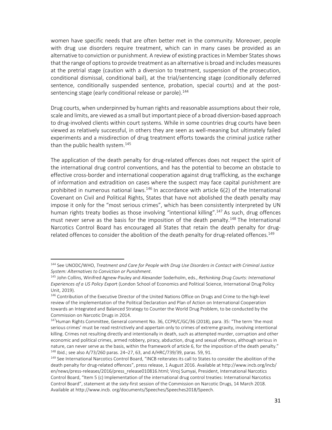women have specific needs that are often better met in the community. Moreover, people with drug use disorders require treatment, which can in many cases be provided as an alternative to conviction or punishment. A review of existing practices in Member States shows that the range of options to provide treatment as an alternative is broad and includes measures at the pretrial stage (caution with a diversion to treatment, suspension of the prosecution, conditional dismissal, conditional bail), at the trial/sentencing stage (conditionally deferred sentence, conditionally suspended sentence, probation, special courts) and at the postsentencing stage (early conditional release or parole).<sup>144</sup>

Drug courts, when underpinned by human rights and reasonable assumptions about their role, scale and limits, are viewed as a small but important piece of a broad diversion-based approach to drug-involved clients within court systems. While in some countries drug courts have been viewed as relatively successful, in others they are seen as well-meaning but ultimately failed experiments and a misdirection of drug treatment efforts towards the criminal justice rather than the public health system.<sup>145</sup>

The application of the death penalty for drug-related offences does not respect the spirit of the international drug control conventions, and has the potential to become an obstacle to effective cross-border and international cooperation against drug trafficking, as the exchange of information and extradition on cases where the suspect may face capital punishment are prohibited in numerous national laws.<sup>146</sup> In accordance with article  $6(2)$  of the International Covenant on Civil and Political Rights, States that have not abolished the death penalty may impose it only for the "most serious crimes", which has been consistently interpreted by UN human rights treaty bodies as those involving "intentional killing".<sup>147</sup> As such, drug offences must never serve as the basis for the imposition of the death penalty.<sup>148</sup> The International Narcotics Control Board has encouraged all States that retain the death penalty for drugrelated offences to consider the abolition of the death penalty for drug-related offences.<sup>149</sup>

<sup>144</sup> See UNODC/WHO, *Treatment and Care for People with Drug Use Disorders in Contact with Criminal Justice System: Alternatives to Conviction or Punishment*.

<sup>145</sup> John Collins, Winifred Agnew-Pauley and Alexander Soderholm, eds., *Rethinking Drug Courts: International Experiences of a US Policy Expor*t (London School of Economics and Political Science, International Drug Policy Unit, 2019).

<sup>146</sup> Contribution of the Executive Director of the United Nations Office on Drugs and Crime to the high-level review of the implementation of the Political Declaration and Plan of Action on International Cooperation towards an Integrated and Balanced Strategy to Counter the World Drug Problem, to be conducted by the Commission on Narcotic Drugs in 2014.

<sup>&</sup>lt;sup>147</sup>Human Rights Committee, General comment No. 36, CCPR/C/GC/36 (2018), para. 35: "The term 'the most serious crimes' must be read restrictively and appertain only to crimes of extreme gravity, involving intentional killing. Crimes not resulting directly and intentionally in death, such as attempted murder, corruption and other economic and political crimes, armed robbery, piracy, abduction, drug and sexual offences, although serious in nature, can never serve as the basis, within the framework of article 6, for the imposition of the death penalty." 148 Ibid.; see also A/73/260 paras. 24-27, 63, and A/HRC/739/39, paras. 59, 91.

<sup>&</sup>lt;sup>149</sup> See International Narcotics Control Board, "INCB reiterates its call to States to consider the abolition of the death penalty for drug-related offences", press release, 1 August 2016. Available at http://www.incb.org/incb/ en/news/press-releases/2016/press\_release010816.html; Viroj Sumyai, President, International Narcotics Control Board, "Item 5 (c) Implementation of the international drug control treaties: International Narcotics Control Board", statement at the sixty-first session of the Commission on Narcotic Drugs, 14 March 2018. Available at http://www.incb. org/documents/Speeches/Speeches2018/Speech.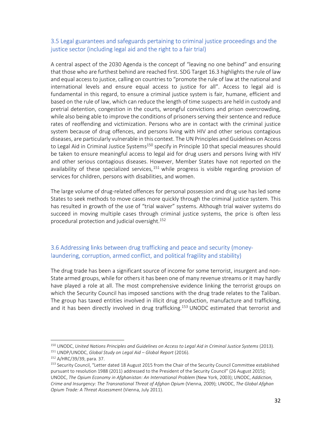#### 3.5 Legal guarantees and safeguards pertaining to criminal justice proceedings and the justice sector (including legal aid and the right to a fair trial)

A central aspect of the 2030 Agenda is the concept of "leaving no one behind" and ensuring that those who are furthest behind are reached first. SDG Target 16.3 highlights the rule of law and equal access to justice, calling on countries to "promote the rule of law at the national and international levels and ensure equal access to justice for all". Access to legal aid is fundamental in this regard, to ensure a criminal justice system is fair, humane, efficient and based on the rule of law, which can reduce the length of time suspects are held in custody and pretrial detention, congestion in the courts, wrongful convictions and prison overcrowding, while also being able to improve the conditions of prisoners serving their sentence and reduce rates of reoffending and victimization. Persons who are in contact with the criminal justice system because of drug offences, and persons living with HIV and other serious contagious diseases, are particularly vulnerable in this context. The UN Principles and Guidelines on Access to Legal Aid in Criminal Justice Systems<sup>150</sup> specify in Principle 10 that special measures should be taken to ensure meaningful access to legal aid for drug users and persons living with HIV and other serious contagious diseases. However, Member States have not reported on the availability of these specialized services,  $151$  while progress is visible regarding provision of services for children, persons with disabilities, and women.

The large volume of drug-related offences for personal possession and drug use has led some States to seek methods to move cases more quickly through the criminal justice system. This has resulted in growth of the use of "trial waiver" systems. Although trial waiver systems do succeed in moving multiple cases through criminal justice systems, the price is often less procedural protection and judicial oversight.<sup>152</sup>

#### 3.6 Addressing links between drug trafficking and peace and security (moneylaundering, corruption, armed conflict, and political fragility and stability)

The drug trade has been a significant source of income for some terrorist, insurgent and non-State armed groups, while for others it has been one of many revenue streams or it may hardly have played a role at all. The most comprehensive evidence linking the terrorist groups on which the Security Council has imposed sanctions with the drug trade relates to the Taliban. The group has taxed entities involved in illicit drug production, manufacture and trafficking, and it has been directly involved in drug trafficking.<sup>153</sup> UNODC estimated that terrorist and

<sup>150</sup> UNODC, *United Nations Principles and Guidelines on Access to Legal Aid in Criminal Justice Systems* (2013).. <sup>151</sup> UNDP/UNODC, *Global Study on Legal Aid – Global Report* (2016).

<sup>152</sup> A/HRC/39/39, para. 37.

<sup>&</sup>lt;sup>153</sup> Security Council, "Letter dated 18 August 2015 from the Chair of the Security Council Committee established pursuant to resolution 1988 (2011) addressed to the President of the Security Council" (26 August 2015); UNODC, *The Opium Economy in Afghanistan: An International Problem* (New York, 2003); UNODC, *Addiction, Crime and Insurgency: The Transnational Threat of Afghan Opium* (Vienna, 2009); UNODC, *The Global Afghan Opium Trade: A Threat Assessment* (Vienna, July 2011).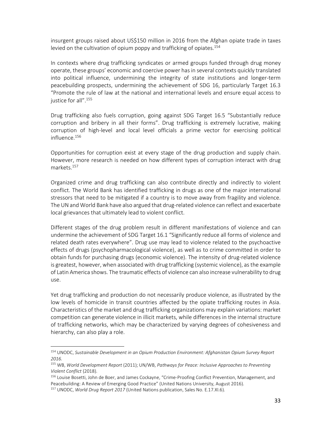insurgent groups raised about US\$150 million in 2016 from the Afghan opiate trade in taxes levied on the cultivation of opium poppy and trafficking of opiates.<sup>154</sup>

In contexts where drug trafficking syndicates or armed groups funded through drug money operate, these groups' economic and coercive power has in several contexts quickly translated into political influence, undermining the integrity of state institutions and longer-term peacebuilding prospects, undermining the achievement of SDG 16, particularly Target 16.3 "Promote the rule of law at the national and international levels and ensure equal access to justice for all".<sup>155</sup>

Drug trafficking also fuels corruption, going against SDG Target 16.5 "Substantially reduce corruption and bribery in all their forms". Drug trafficking is extremely lucrative, making corruption of high-level and local level officials a prime vector for exercising political influence.<sup>156</sup>

Opportunities for corruption exist at every stage of the drug production and supply chain. However, more research is needed on how different types of corruption interact with drug markets.<sup>157</sup>

Organized crime and drug trafficking can also contribute directly and indirectly to violent conflict. The World Bank has identified trafficking in drugs as one of the major international stressors that need to be mitigated if a country is to move away from fragility and violence. The UN and World Bank have also argued that drug-related violence can reflect and exacerbate local grievances that ultimately lead to violent conflict.

Different stages of the drug problem result in different manifestations of violence and can undermine the achievement of SDG Target 16.1 "Significantly reduce all forms of violence and related death rates everywhere". Drug use may lead to violence related to the psychoactive effects of drugs (psychopharmacological violence), as well as to crime committed in order to obtain funds for purchasing drugs (economic violence). The intensity of drug-related violence is greatest, however, when associated with drug trafficking (systemic violence), as the example of Latin America shows. The traumatic effects of violence can also increase vulnerability to drug use.

Yet drug trafficking and production do not necessarily produce violence, as illustrated by the low levels of homicide in transit countries affected by the opiate trafficking routes in Asia. Characteristics of the market and drug trafficking organizations may explain variations: market competition can generate violence in illicit markets, while differences in the internal structure of trafficking networks, which may be characterized by varying degrees of cohesiveness and hierarchy, can also play a role.

<sup>154</sup> UNODC, *Sustainable Development in an Opium Production Environment: Afghanistan Opium Survey Report 2016.*

<sup>155</sup> WB, *World Development Report* (2011); UN/WB, *Pathways for Peace: Inclusive Approaches to Preventing Violent Conflict* (2018).

<sup>&</sup>lt;sup>156</sup> Louise Bosetti, John de Boer, and James Cockayne, "Crime-Proofing Conflict Prevention, Management, and Peacebuilding: A Review of Emerging Good Practice" (United Nations University, August 2016).

<sup>157</sup> UNODC, *World Drug Report 2017* (United Nations publication, Sales No. E.17.XI.6).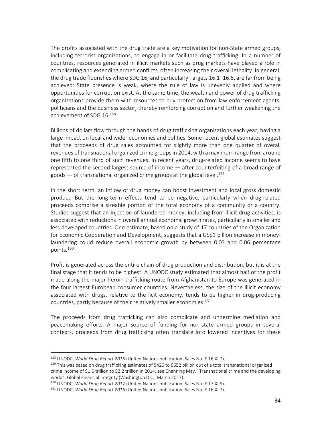The profits associated with the drug trade are a key motivation for non-State armed groups, including terrorist organizations, to engage in or facilitate drug trafficking. In a number of countries, resources generated in illicit markets such as drug markets have played a role in complicating and extending armed conflicts, often increasing their overall lethality. In general, the drug trade flourishes where SDG 16, and particularly Targets 16.1–16.6, are far from being achieved: State presence is weak, where the rule of law is unevenly applied and where opportunities for corruption exist. At the same time, the wealth and power of drug trafficking organizations provide them with resources to buy protection from law enforcement agents, politicians and the business sector, thereby reinforcing corruption and further weakening the achievement of SDG 16.<sup>158</sup>

Billions of dollars flow through the hands of drug trafficking organizations each year, having a large impact on local and wider economies and polities. Some recent global estimates suggest that the proceeds of drug sales accounted for slightly more than one quarter of overall revenues of transnational organized crime groups in 2014, with a maximum range from around one fifth to one third of such revenues. In recent years, drug-related income seems to have represented the second largest source of income — after counterfeiting of a broad range of goods  $-$  of transnational organized crime groups at the global level.<sup>159</sup>

In the short term, an inflow of drug money can boost investment and local gross domestic product. But the long-term effects tend to be negative, particularly when drug-related proceeds comprise a sizeable portion of the total economy of a community or a country. Studies suggest that an injection of laundered money, including from illicit drug activities, is associated with reductions in overall annual economic growth rates, particularly in smaller and less developed countries. One estimate, based on a study of 17 countries of the Organization for Economic Cooperation and Development, suggests that a US\$1 billion increase in moneylaundering could reduce overall economic growth by between 0.03 and 0.06 percentage points.<sup>160</sup>

Profit is generated across the entire chain of drug production and distribution, but it is at the final stage that it tends to be highest. A UNODC study estimated that almost half of the profit made along the major heroin trafficking route from Afghanistan to Europe was generated in the four largest European consumer countries. Nevertheless, the size of the illicit economy associated with drugs, relative to the licit economy, tends to be higher in drug-producing countries, partly because of their relatively smaller economies.<sup>161</sup>

The proceeds from drug trafficking can also complicate and undermine mediation and peacemaking efforts. A major source of funding for non-state armed groups in several contexts, proceeds from drug trafficking often translate into lowered incentives for these

<u>.</u>

<sup>158</sup> UNODC, *World Drug Report 2016* (United Nations publication, Sales No. E.16.XI.7).

<sup>&</sup>lt;sup>159</sup> This was based on drug trafficking estimates of \$426 to \$652 billion out of a total transnational organized crime income of \$1.6 trillion to \$2.2 trillion in 2014, see Channing May, "Transnational crime and the developing world", Global Financial Integrity (Washington D.C., March 2017).

<sup>160</sup> UNODC, *World Drug Report 2017* (United Nations publication, Sales No. E.17.XI.6).

<sup>161</sup> UNODC, *World Drug Report 2016* (United Nations publication, Sales No. E.16.XI.7).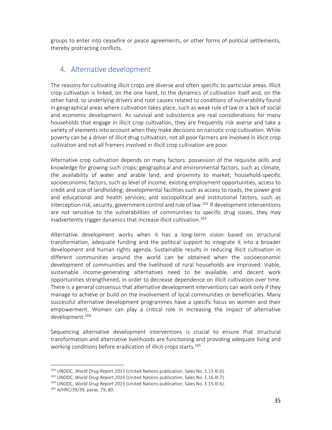groups to enter into ceasefire or peace agreements, or other forms of political settlements, thereby protracting conflicts.

### 4. Alternative development

The reasons for cultivating illicit crops are diverse and often specific to particular areas. Illicit crop cultivation is linked, on the one hand, to the dynamics of cultivation itself and, on the other hand, to underlying drivers and root causes related to conditions of vulnerability found in geographical areas where cultivation takes place, such as weak rule of law or a lack of social and economic development. As survival and subsistence are real considerations for many households that engage in illicit crop cultivation, they are frequently risk averse and take a variety of elements into account when they make decisions on narcotic crop cultivation. While poverty can be a driver of illicit drug cultivation, not all poor farmers are involved in illicit crop cultivation and not all framers involved in illicit crop cultivation are poor.

Alternative crop cultivation depends on many factors: possession of the requisite skills and knowledge for growing such crops; geographical and environmental factors, such as climate, the availability of water and arable land, and proximity to market; household-specific socioeconomic factors, such as level of income, existing employment opportunities, access to credit and size of landholding; developmental facilities such as access to roads, the power grid and educational and health services; and sociopolitical and institutional factors, such as interception risk, security, government control and rule of law.<sup>162</sup> If development interventions are not sensitive to the vulnerabilities of communities to specific drug issues, they may inadvertently trigger dynamics that increase illicit cultivation.<sup>163</sup>

Alternative development works when it has a long-term vision based on structural transformation, adequate funding and the political support to integrate it into a broader development and human rights agenda. Sustainable results in reducing illicit cultivation in different communities around the world can be obtained when the socioeconomic development of communities and the livelihood of rural households are improved. Viable, sustainable income-generating alternatives need to be available, and decent work opportunities strengthened, in order to decrease dependence on illicit cultivation over time. There is a general consensus that alternative development interventions can work only if they manage to achieve or build on the involvement of local communities or beneficiaries. Many successful alternative development programmes have a specific focus on women and their empowerment. Women can play a critical role in increasing the impact of alternative development.<sup>164</sup>

Sequencing alternative development interventions is crucial to ensure that structural transformation and alternative livelihoods are functioning and providing adequate living and working conditions before eradication of illicit crops starts.<sup>165</sup>

<sup>162</sup> UNODC, *World Drug Report 2015* (United Nations publication, Sales No. E.15.XI.6).

<sup>163</sup> UNODC, *World Drug Report 2016* (United Nations publication, Sales No. E.16.XI.7).

<sup>164</sup> UNODC, *World Drug Report 2015* (United Nations publication, Sales No. E.15.XI.6).

<sup>165</sup> A/HRC/39/39, paras. 79, 80.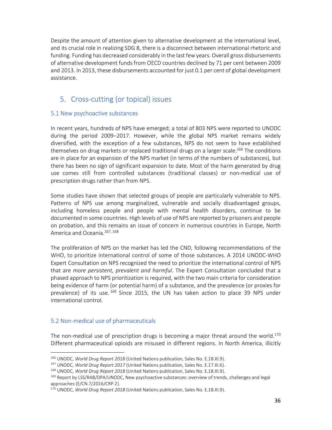Despite the amount of attention given to alternative development at the international level, and its crucial role in realizing SDG 8, there is a disconnect between international rhetoric and funding. Funding has decreased considerably in the last few years. Overall gross disbursements of alternative development funds from OECD countries declined by 71 per cent between 2009 and 2013. In 2013, these disbursements accounted for just 0.1 per cent of global development assistance.

### 5. Cross-cutting (or topical) issues

#### 5.1 New psychoactive substances

In recent years, hundreds of NPS have emerged; a total of 803 NPS were reported to UNODC during the period 2009–2017. However, while the global NPS market remains widely diversified, with the exception of a few substances, NPS do not seem to have established themselves on drug markets or replaced traditional drugs on a larger scale.<sup>166</sup> The conditions are in place for an expansion of the NPS market (in terms of the numbers of substances), but there has been no sign of significant expansion to date. Most of the harm generated by drug use comes still from controlled substances (traditional classes) or non-medical use of prescription drugs rather than from NPS.

Some studies have shown that selected groups of people are particularly vulnerable to NPS. Patterns of NPS use among marginalized, vulnerable and socially disadvantaged groups, including homeless people and people with mental health disorders, continue to be documented in some countries. High levels of use of NPS are reported by prisoners and people on probation, and this remains an issue of concern in numerous countries in Europe, North America and Oceania.<sup>167, 168</sup>

The proliferation of NPS on the market has led the CND, following recommendations of the WHO, to prioritize international control of some of those substances. A 2014 UNODC-WHO Expert Consultation on NPS recognized the need to prioritize the international control of NPS that are *more persistent, prevalent and harmful*. The Expert Consultation concluded that a phased approach to NPS prioritization is required, with the two main criteria for consideration being evidence of harm (or potential harm) of a substance, and the prevalence (or proxies for prevalence) of its use. <sup>169</sup> Since 2015, the UN has taken action to place 39 NPS under international control.

#### 5.2 Non-medical use of pharmaceuticals

<u>.</u>

The non-medical use of prescription drugs is becoming a major threat around the world.<sup>170</sup> Different pharmaceutical opioids are misused in different regions. In North America, illicitly

<sup>166</sup> UNODC, *World Drug Report 2018* (United Nations publication, Sales No. E.18.XI.9).

<sup>167</sup> UNODC, *World Drug Report 2017* (United Nations publication, Sales No. E.17.XI.6).

<sup>168</sup> UNODC, *World Drug Report 2018* (United Nations publication, Sales No. E.18.XI.9).

<sup>&</sup>lt;sup>169</sup> Report by LSS/RAB/DPA/UNODC, New psychoactive substances: overview of trends, challenges and legal approaches (E/CN.7/2016/CRP.2).

<sup>170</sup> UNODC, *World Drug Report 2018* (United Nations publication, Sales No. E.18.XI.9).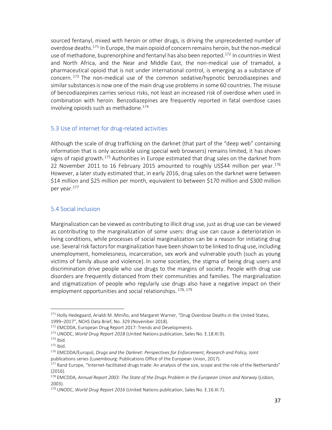sourced fentanyl, mixed with heroin or other drugs, is driving the unprecedented number of overdose deaths.<sup>171</sup> In Europe, the main opioid of concern remains heroin, but the non-medical use of methadone, buprenorphine and fentanyl has also been reported.<sup>172</sup> In countries in West and North Africa, and the Near and Middle East, the non-medical use of tramadol, a pharmaceutical opioid that is not under international control, is emerging as a substance of concern. <sup>173</sup> The non-medical use of the common sedative/hypnotic benzodiazepines and similar substances is now one of the main drug use problems in some 60 countries. The misuse of benzodiazepines carries serious risks, not least an increased risk of overdose when used in combination with heroin. Benzodiazepines are frequently reported in fatal overdose cases involving opioids such as methadone. $174$ 

#### 5.3 Use of internet for drug-related activities

Although the scale of drug trafficking on the darknet (that part of the "deep web" containing information that is only accessible using special web browsers) remains limited, it has shown signs of rapid growth.<sup>175</sup> Authorities in Europe estimated that drug sales on the darknet from 22 November 2011 to 16 February 2015 amounted to roughly US\$44 million per year.<sup>176</sup> However, a later study estimated that, in early 2016, drug sales on the darknet were between \$14 million and \$25 million per month, equivalent to between \$170 million and \$300 million per year.<sup>177</sup>

#### 5.4 Social inclusion

Marginalization can be viewed as contributing to illicit drug use, just as drug use can be viewed as contributing to the marginalization of some users: drug use can cause a deterioration in living conditions, while processes of social marginalization can be a reason for initiating drug use. Several risk factors for marginalization have been shown to be linked to drug use, including unemployment, homelessness, incarceration, sex work and vulnerable youth (such as young victims of family abuse and violence). In some societies, the stigma of being drug users and discrimination drive people who use drugs to the margins of society. People with drug use disorders are frequently distanced from their communities and families. The marginalization and stigmatization of people who regularly use drugs also have a negative impact on their employment opportunities and social relationships. 178, 179

<sup>&</sup>lt;sup>171</sup> Holly Hedegaard, Arialdi M. Miniño, and Margaret Warner, "Drug Overdose Deaths in the United States, 1999–2017", NCHS Data Brief, No. 329 (November 2018).

<sup>172</sup> EMCDDA, European Drug Report 2017: Trends and Developments.

<sup>173</sup> UNODC, *World Drug Report 2018* (United Nations publication, Sales No. E.18.XI.9).

 $174$  Ibid.

 $175$  Ibid.

<sup>176</sup> EMCDDA/Europol, *Drugs and the Darknet: Perspectives for Enforcement, Research and Policy,* Joint publications series (Luxembourg: Publications Office of the European Union, 2017).

<sup>&</sup>lt;sup>177</sup> Rand Europe, "Internet-facilitated drugs trade: An analysis of the size, scope and the role of the Netherlands" (2016).

<sup>178</sup> EMCDDA, *Annual Report 2003: The State of the Drugs Problem in the European Union and Norway* (Lisbon, 2003).

<sup>179</sup> UNODC, *World Drug Report 2016* (United Nations publication, Sales No. E.16.XI.7).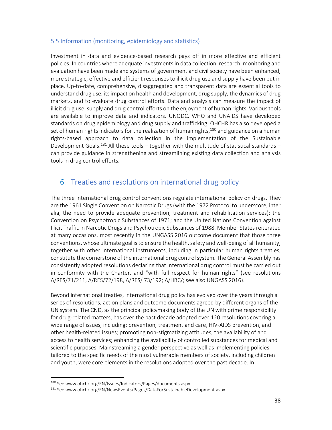#### 5.5 Information (monitoring, epidemiology and statistics)

Investment in data and evidence-based research pays off in more effective and efficient policies. In countries where adequate investments in data collection, research, monitoring and evaluation have been made and systems of government and civil society have been enhanced, more strategic, effective and efficient responses to illicit drug use and supply have been put in place. Up-to-date, comprehensive, disaggregated and transparent data are essential tools to understand drug use, its impact on health and development, drug supply, the dynamics of drug markets, and to evaluate drug control efforts. Data and analysis can measure the impact of illicit drug use, supply and drug control efforts on the enjoyment of human rights. Various tools are available to improve data and indicators. UNODC, WHO and UNAIDS have developed standards on drug epidemiology and drug supply and trafficking. OHCHR has also developed a set of human rights indicators for the realization of human rights,  $180$  and guidance on a human rights-based approach to data collection in the implementation of the Sustainable Development Goals.<sup>181</sup> All these tools – together with the multitude of statistical standards – can provide guidance in strengthening and streamlining existing data collection and analysis tools in drug control efforts.

### 6. Treaties and resolutions on international drug policy

The three international drug control conventions regulate international policy on drugs. They are the 1961 Single Convention on Narcotic Drugs (with the 1972 Protocol to underscore, inter alia, the need to provide adequate prevention, treatment and rehabilitation services); the Convention on Psychotropic Substances of 1971; and the United Nations Convention against Illicit Traffic in Narcotic Drugs and Psychotropic Substances of 1988. Member States reiterated at many occasions, most recently in the UNGASS 2016 outcome document that those three conventions, whose ultimate goal is to ensure the health, safety and well-being of all humanity, together with other international instruments, including in particular human rights treaties, constitute the cornerstone of the international drug control system*.* The General Assembly has consistently adopted resolutions declaring that international drug control must be carried out in conformity with the Charter, and "with full respect for human rights" (see resolutions A/RES/71/211, A/RES/72/198, A/RES/ 73/192; A/HRC/; see also UNGASS 2016).

Beyond international treaties, international drug policy has evolved over the years through a series of resolutions, action plans and outcome documents agreed by different organs of the UN system. The CND, as the principal policymaking body of the UN with prime responsibility for drug-related matters, has over the past decade adopted over 120 resolutions covering a wide range of issues, including: prevention, treatment and care, HIV-AIDS prevention, and other health-related issues; promoting non-stigmatizing attitudes; the availability of and access to health services; enhancing the availability of controlled substances for medical and scientific purposes. Mainstreaming a gender perspective as well as implementing policies tailored to the specific needs of the most vulnerable members of society, including children and youth, were core elements in the resolutions adopted over the past decade. In

<sup>180</sup> See www.ohchr.org/EN/Issues/Indicators/Pages/documents.aspx.

<sup>181</sup> See www.ohchr.org/EN/NewsEvents/Pages/DataForSustainableDevelopment.aspx.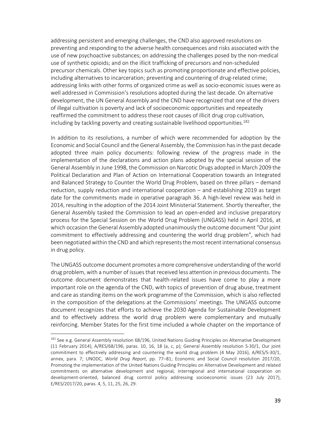addressing persistent and emerging challenges, the CND also approved resolutions on preventing and responding to the adverse health consequences and risks associated with the use of new psychoactive substances; on addressing the challenges posed by the non-medical use of synthetic opioids; and on the illicit trafficking of precursors and non-scheduled precursor chemicals. Other key topics such as promoting proportionate and effective policies, including alternatives to incarceration; preventing and countering of drug-related crime; addressing links with other forms of organized crime as well as socio-economic issues were as well addressed in Commission's resolutions adopted during the last decade. On alternative development, the UN General Assembly and the CND have recognized that one of the drivers of illegal cultivation is poverty and lack of socioeconomic opportunities and repeatedly reaffirmed the commitment to address these root causes of illicit drug crop cultivation, including by tackling poverty and creating sustainable livelihood opportunities.<sup>182</sup>

In addition to its resolutions, a number of which were recommended for adoption by the Economic and Social Council and the General Assembly, the Commission has in the past decade adopted three main policy documents: following review of the progress made in the implementation of the declarations and action plans adopted by the special session of the General Assembly in June 1998, the Commission on Narcotic Drugs adopted in March 2009 the Political Declaration and Plan of Action on International Cooperation towards an Integrated and Balanced Strategy to Counter the World Drug Problem, based on three pillars – demand reduction, supply reduction and international cooperation – and establishing 2019 as target date for the commitments made in operative paragraph 36. A high-level review was held in 2014, resulting in the adoption of the 2014 Joint Ministerial Statement. Shortly thereafter, the General Assembly tasked the Commission to lead an open-ended and inclusive preparatory process for the Special Session on the World Drug Problem (UNGASS) held in April 2016, at which occasion the General Assembly adopted unanimously the outcome document "Our joint commitment to effectively addressing and countering the world drug problem", which had been negotiated within the CND and which represents the most recent international consensus in drug policy.

The UNGASS outcome document promotes a more comprehensive understanding of the world drug problem, with a number of issues that received less attention in previous documents. The outcome document demonstrates that health-related issues have come to play a more important role on the agenda of the CND, with topics of prevention of drug abuse, treatment and care as standing items on the work programme of the Commission, which is also reflected in the composition of the delegations at the Commissions' meetings. The UNGASS outcome document recognizes that efforts to achieve the 2030 Agenda for Sustainable Development and to effectively address the world drug problem were complementary and mutually reinforcing. Member States for the first time included a whole chapter on the importance of

<sup>182</sup> See e.g. General Assembly resolution 68/196, United Nations Guiding Principles on Alternative Development (11 February 2014), A/RES/68/196, paras. 10, 16, 18 (a, c, p); General Assembly resolution S-30/1, Our joint commitment to effectively addressing and countering the world drug problem (4 May 2016), A/RES/S-30/1, annex, para. 7; UNODC, *World Drug Report*, pp. 77–81; Economic and Social Council resolution 2017/20, Promoting the implementation of the United Nations Guiding Principles on Alternative Development and related commitments on alternative development and regional, interregional and international cooperation on development-oriented, balanced drug control policy addressing socioeconomic issues (23 July 2017), E/RES/2017/20, paras. 4, 5, 11, 25, 26, 29.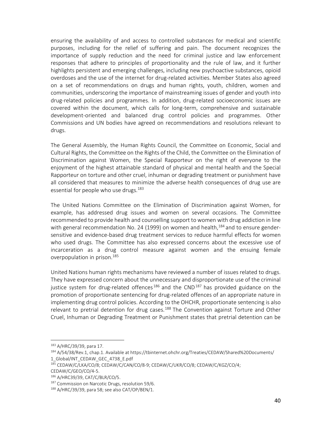ensuring the availability of and access to controlled substances for medical and scientific purposes, including for the relief of suffering and pain. The document recognizes the importance of supply reduction and the need for criminal justice and law enforcement responses that adhere to principles of proportionality and the rule of law, and it further highlights persistent and emerging challenges, including new psychoactive substances, opioid overdoses and the use of the internet for drug-related activities. Member States also agreed on a set of recommendations on drugs and human rights, youth, children, women and communities, underscoring the importance of mainstreaming issues of gender and youth into drug-related policies and programmes. In addition, drug-related socioeconomic issues are covered within the document, which calls for long-term, comprehensive and sustainable development-oriented and balanced drug control policies and programmes. Other Commissions and UN bodies have agreed on recommendations and resolutions relevant to drugs.

The General Assembly, the Human Rights Council, the Committee on Economic, Social and Cultural Rights, the Committee on the Rights of the Child, the Committee on the Elimination of Discrimination against Women, the Special Rapporteur on the right of everyone to the enjoyment of the highest attainable standard of physical and mental health and the Special Rapporteur on torture and other cruel, inhuman or degrading treatment or punishment have all considered that measures to minimize the adverse health consequences of drug use are essential for people who use drugs.<sup>183</sup>

The United Nations Committee on the Elimination of Discrimination against Women, for example, has addressed drug issues and women on several occasions. The Committee recommended to provide health and counselling support to women with drug addiction in line with general recommendation No. 24 (1999) on women and health,  $^{184}$  and to ensure gendersensitive and evidence-based drug treatment services to reduce harmful effects for women who used drugs. The Committee has also expressed concerns about the excessive use of incarceration as a drug control measure against women and the ensuing female overpopulation in prison.<sup>185</sup>

United Nations human rights mechanisms have reviewed a number of issues related to drugs. They have expressed concern about the unnecessary and disproportionate use of the criminal justice system for drug-related offences<sup>186</sup> and the CND<sup>187</sup> has provided guidance on the promotion of proportionate sentencing for drug-related offences of an appropriate nature in implementing drug control policies. According to the OHCHR, proportionate sentencing is also relevant to pretrial detention for drug cases.<sup>188</sup> The Convention against Torture and Other Cruel, Inhuman or Degrading Treatment or Punishment states that pretrial detention can be

<sup>183</sup> A/HRC/39/39, para 17.

<sup>184</sup> A/54/38/Rev.1, chap.1. Available at https://tbinternet.ohchr.org/Treaties/CEDAW/Shared%20Documents/ 1\_Global/INT\_CEDAW\_GEC\_4738\_E.pdf

<sup>185</sup> CEDAW/C/LKA/CO/8; CEDAW/C/CAN/CO/8-9; CEDAW/C/UKR/CO/8; CEDAW/C/KGZ/CO/4; CEDAW/C/GEO/CO/4-5.

<sup>186</sup> A/HRC39/39, CAT/C/BLR/CO/5.

<sup>&</sup>lt;sup>187</sup> Commission on Narcotic Drugs, resolution 59/6.

<sup>188</sup> A/HRC/39/39, para 58; see also CAT/OP/BEN/1.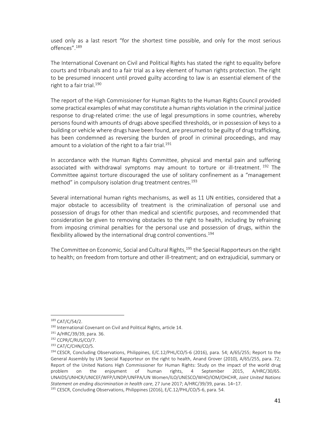used only as a last resort "for the shortest time possible, and only for the most serious offences".<sup>189</sup>

The International Covenant on Civil and Political Rights has stated the right to equality before courts and tribunals and to a fair trial as a key element of human rights protection. The right to be presumed innocent until proved guilty according to law is an essential element of the right to a fair trial.<sup>190</sup>

The report of the High Commissioner for Human Rights to the Human Rights Council provided some practical examples of what may constitute a human rights violation in the criminal justice response to drug-related crime: the use of legal presumptions in some countries, whereby persons found with amounts of drugs above specified thresholds, or in possession of keys to a building or vehicle where drugs have been found, are presumed to be guilty of drug trafficking, has been condemned as reversing the burden of proof in criminal proceedings, and may amount to a violation of the right to a fair trial.<sup>191</sup>

In accordance with the Human Rights Committee, physical and mental pain and suffering associated with withdrawal symptoms may amount to torture or ill-treatment.  $192$  The Committee against torture discouraged the use of solitary confinement as a "management method" in compulsory isolation drug treatment centres.<sup>193</sup>

Several international human rights mechanisms, as well as 11 UN entities, considered that a major obstacle to accessibility of treatment is the criminalization of personal use and possession of drugs for other than medical and scientific purposes, and recommended that consideration be given to removing obstacles to the right to health, including by refraining from imposing criminal penalties for the personal use and possession of drugs, within the flexibility allowed by the international drug control conventions.<sup>194</sup>

The Committee on Economic, Social and Cultural Rights,<sup>195</sup> the Special Rapporteurs on the right to health; on freedom from torture and other ill-treatment; and on extrajudicial, summary or

 $189$  CAT/C/54/2.

<sup>190</sup> International Covenant on Civil and Political Rights, article 14.

<sup>191</sup> A/HRC/39/39, para. 36.

<sup>192</sup> CCPR/C/RUS/CO/7.

<sup>193</sup> CAT/C/CHN/CO/5.

<sup>194</sup> CESCR, Concluding Observations, Philippines, E/C.12/PHL/CO/5-6 (2016), para. 54; A/65/255; Report to the General Assembly by UN Special Rapporteur on the right to health, Anand Grover (2010), A/65/255, para. 72; Report of the United Nations High Commissioner for Human Rights: Study on the impact of the world drug problem on the enjoyment of human rights, 4 September 2015, A/HRC/30/65. UNAIDS/UNHCR/UNICEF/WFP/UNDP/UNFPA/UN Women/ILO/UNESCO/WHO/IOM/OHCHR, *Joint United Nations Statement on ending discrimination in health care*, 27 June 2017; A/HRC/39/39, paras. 14–17.

<sup>195</sup> CESCR, Concluding Observations, Philippines (2016), E/C.12/PHL/CO/5-6, para. 54.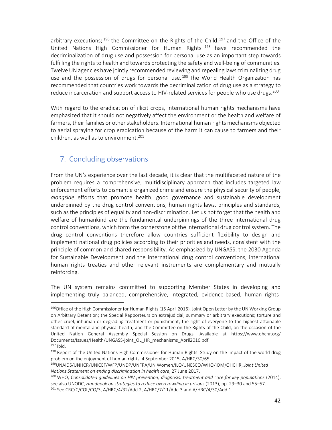arbitrary executions;  $196$  the Committee on the Rights of the Child;  $197$  and the Office of the United Nations High Commissioner for Human Rights <sup>198</sup> have recommended the decriminalization of drug use and possession for personal use as an important step towards fulfilling the rights to health and towards protecting the safety and well-being of communities. Twelve UN agencies have jointly recommended reviewing and repealing laws criminalizing drug use and the possession of drugs for personal use.<sup>199</sup> The World Health Organization has recommended that countries work towards the decriminalization of drug use as a strategy to reduce incarceration and support access to HIV-related services for people who use drugs.<sup>200</sup>

With regard to the eradication of illicit crops, international human rights mechanisms have emphasized that it should not negatively affect the environment or the health and welfare of farmers, their families or other stakeholders. International human rights mechanisms objected to aerial spraying for crop eradication because of the harm it can cause to farmers and their children, as well as to environment.<sup>201</sup>

## 7. Concluding observations

From the UN's experience over the last decade, it is clear that the multifaceted nature of the problem requires a comprehensive, multidisciplinary approach that includes targeted law enforcement efforts to dismantle organized crime and ensure the physical security of people, *alongside* efforts that promote health, good governance and sustainable development underpinned by the drug control conventions, human rights laws, principles and standards, such as the principles of equality and non-discrimination. Let us not forget that the health and welfare of humankind are the fundamental underpinnings of the three international drug control conventions, which form the cornerstone of the international drug control system. The drug control conventions therefore allow countries sufficient flexibility to design and implement national drug policies according to their priorities and needs, consistent with the principle of common and shared responsibility. As emphasized by UNGASS, the 2030 Agenda for Sustainable Development and the international drug control conventions, international human rights treaties and other relevant instruments are complementary and mutually reinforcing.

The UN system remains committed to supporting Member States in developing and implementing truly balanced, comprehensive, integrated, evidence-based, human rights-

<sup>196</sup> Office of the High Commissioner for Human Rights (15 April 2016), Joint Open Letter by the UN Working Group on Arbitrary Detention; the Special Rapporteurs on extrajudicial, summary or arbitrary executions; torture and other cruel, inhuman or degrading treatment or punishment; the right of everyone to the highest attainable standard of mental and physical health; and the Committee on the Rights of the Child, on the occasion of the United Nation General Assembly Special Session on Drugs. Available at https://www.ohchr.org/ Documents/Issues/Health/UNGASS-joint\_OL\_HR\_mechanisms\_April2016.pdf  $197$  Ibid.

<sup>&</sup>lt;sup>198</sup> Report of the United Nations High Commissioner for Human Rights: Study on the impact of the world drug problem on the enjoyment of human rights, 4 September 2015, A/HRC/30/65.

<sup>199</sup>UNAIDS/UNHCR/UNICEF/WFP/UNDP/UNFPA/UN Women/ILO/UNESCO/WHO/IOM/OHCHR, *Joint United Nations Statement on ending discrimination in health care*, 27 June 2017.

<sup>200</sup> WHO, *Consolidated guidelines on HIV prevention, diagnosis, treatment and care for key populations* (2014); see also UNODC, *Handbook on strategies to reduce overcrowding in prisons* (2013), pp. 29–30 and 55–57. 201 See CRC/C/COL/CO/3, A/HRC/4/32/Add.2, A/HRC/7/11/Add.3 and A/HRC/4/30/Add.1.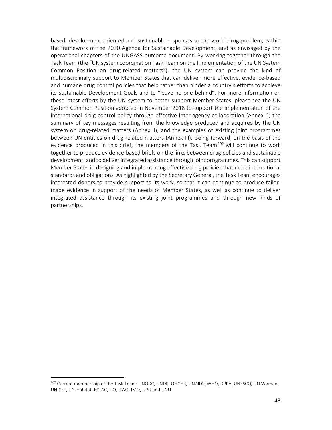based, development-oriented and sustainable responses to the world drug problem, within the framework of the 2030 Agenda for Sustainable Development, and as envisaged by the operational chapters of the UNGASS outcome document. By working together through the Task Team (the "UN system coordination Task Team on the Implementation of the UN System Common Position on drug-related matters"), the UN system can provide the kind of multidisciplinary support to Member States that can deliver more effective, evidence-based and humane drug control policies that help rather than hinder a country's efforts to achieve its Sustainable Development Goals and to "leave no one behind". For more information on these latest efforts by the UN system to better support Member States, please see the UN System Common Position adopted in November 2018 to support the implementation of the international drug control policy through effective inter-agency collaboration (Annex I); the summary of key messages resulting from the knowledge produced and acquired by the UN system on drug-related matters (Annex II); and the examples of existing joint programmes between UN entities on drug-related matters (Annex III). Going forward, on the basis of the evidence produced in this brief, the members of the Task Team<sup>202</sup> will continue to work together to produce evidence-based briefs on the links between drug policies and sustainable development, and to deliver integrated assistance through joint programmes. This can support Member States in designing and implementing effective drug policies that meet international standards and obligations. As highlighted by the Secretary General, the Task Team encourages interested donors to provide support to its work, so that it can continue to produce tailormade evidence in support of the needs of Member States, as well as continue to deliver integrated assistance through its existing joint programmes and through new kinds of partnerships.

<sup>&</sup>lt;sup>202</sup> Current membership of the Task Team: UNODC, UNDP, OHCHR, UNAIDS, WHO, DPPA, UNESCO, UN Women, UNICEF, UN-Habitat, ECLAC, ILO, ICAO, IMO, UPU and UNU.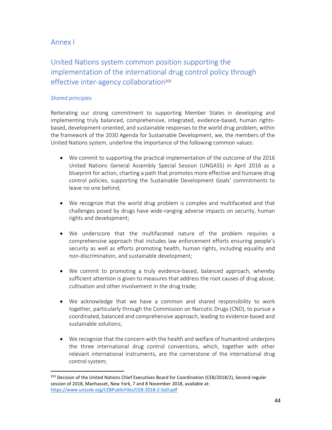### Annex I

## United Nations system common position supporting the implementation of the international drug control policy through effective inter-agency collaboration<sup>203</sup>

#### *Shared principles*

1

Reiterating our strong commitment to supporting Member States in developing and implementing truly balanced, comprehensive, integrated, evidence-based, human rightsbased, development-oriented, and sustainable responses to the world drug problem, within the framework of the 2030 Agenda for Sustainable Development, we, the members of the United Nations system, underline the importance of the following common values:

- We commit to supporting the practical implementation of the outcome of the 2016 United Nations General Assembly Special Session (UNGASS) in April 2016 as a blueprint for action, charting a path that promotes more effective and humane drug control policies, supporting the Sustainable Development Goals' commitments to leave no one behind;
- We recognize that the world drug problem is complex and multifaceted and that challenges posed by drugs have wide-ranging adverse impacts on security, human rights and development;
- We underscore that the multifaceted nature of the problem requires a comprehensive approach that includes law enforcement efforts ensuring people's security as well as efforts promoting health, human rights, including equality and non-discrimination, and sustainable development;
- We commit to promoting a truly evidence-based, balanced approach, whereby sufficient attention is given to measures that address the root causes of drug abuse, cultivation and other involvement in the drug trade;
- We acknowledge that we have a common and shared responsibility to work together, particularly through the Commission on Narcotic Drugs (CND), to pursue a coordinated, balanced and comprehensive approach, leading to evidence-based and sustainable solutions;
- We recognize that the concern with the health and welfare of humankind underpins the three international drug control conventions, which, together with other relevant international instruments, are the cornerstone of the international drug control system;

<sup>&</sup>lt;sup>203</sup> Decision of the United Nations Chief Executives Board for Coordination (CEB/2018/2), Second regular session of 2018, Manhasset, New York, 7 and 8 November 2018, available at: https://www.unsceb.org/CEBPublicFiles/CEB-2018-2-SoD.pdf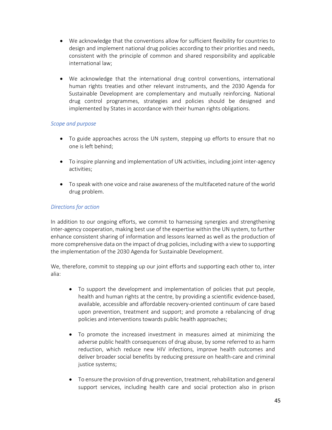- We acknowledge that the conventions allow for sufficient flexibility for countries to design and implement national drug policies according to their priorities and needs, consistent with the principle of common and shared responsibility and applicable international law;
- We acknowledge that the international drug control conventions, international human rights treaties and other relevant instruments, and the 2030 Agenda for Sustainable Development are complementary and mutually reinforcing. National drug control programmes, strategies and policies should be designed and implemented by States in accordance with their human rights obligations.

#### *Scope and purpose*

- To guide approaches across the UN system, stepping up efforts to ensure that no one is left behind;
- To inspire planning and implementation of UN activities, including joint inter-agency activities;
- To speak with one voice and raise awareness of the multifaceted nature of the world drug problem.

#### *Directions for action*

In addition to our ongoing efforts, we commit to harnessing synergies and strengthening inter-agency cooperation, making best use of the expertise within the UN system, to further enhance consistent sharing of information and lessons learned as well as the production of more comprehensive data on the impact of drug policies, including with a view to supporting the implementation of the 2030 Agenda for Sustainable Development.

We, therefore, commit to stepping up our joint efforts and supporting each other to, inter alia:

- To support the development and implementation of policies that put people, health and human rights at the centre, by providing a scientific evidence-based, available, accessible and affordable recovery-oriented continuum of care based upon prevention, treatment and support; and promote a rebalancing of drug policies and interventions towards public health approaches;
- To promote the increased investment in measures aimed at minimizing the adverse public health consequences of drug abuse, by some referred to as harm reduction, which reduce new HIV infections, improve health outcomes and deliver broader social benefits by reducing pressure on health-care and criminal justice systems;
- To ensure the provision of drug prevention, treatment, rehabilitation and general support services, including health care and social protection also in prison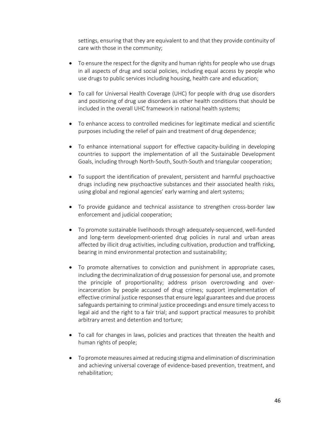settings, ensuring that they are equivalent to and that they provide continuity of care with those in the community;

- To ensure the respect for the dignity and human rights for people who use drugs in all aspects of drug and social policies, including equal access by people who use drugs to public services including housing, health care and education;
- To call for Universal Health Coverage (UHC) for people with drug use disorders and positioning of drug use disorders as other health conditions that should be included in the overall UHC framework in national health systems;
- To enhance access to controlled medicines for legitimate medical and scientific purposes including the relief of pain and treatment of drug dependence;
- To enhance international support for effective capacity-building in developing countries to support the implementation of all the Sustainable Development Goals, including through North-South, South-South and triangular cooperation;
- To support the identification of prevalent, persistent and harmful psychoactive drugs including new psychoactive substances and their associated health risks, using global and regional agencies' early warning and alert systems;
- To provide guidance and technical assistance to strengthen cross-border law enforcement and judicial cooperation;
- To promote sustainable livelihoods through adequately-sequenced, well-funded and long-term development-oriented drug policies in rural and urban areas affected by illicit drug activities, including cultivation, production and trafficking, bearing in mind environmental protection and sustainability;
- To promote alternatives to conviction and punishment in appropriate cases, including the decriminalization of drug possession for personal use, and promote the principle of proportionality; address prison overcrowding and overincarceration by people accused of drug crimes; support implementation of effective criminal justice responses that ensure legal guarantees and due process safeguards pertaining to criminal justice proceedings and ensure timely access to legal aid and the right to a fair trial; and support practical measures to prohibit arbitrary arrest and detention and torture;
- To call for changes in laws, policies and practices that threaten the health and human rights of people;
- To promote measures aimed at reducing stigma and elimination of discrimination and achieving universal coverage of evidence-based prevention, treatment, and rehabilitation;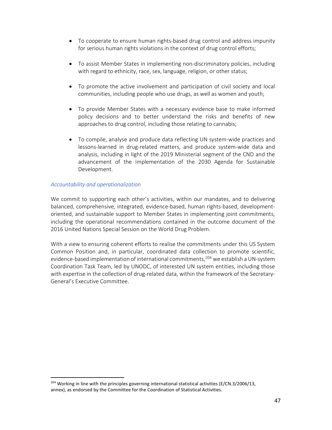- To cooperate to ensure human rights-based drug control and address impunity for serious human rights violations in the context of drug control efforts;
- To assist Member States in implementing non-discriminatory policies, including with regard to ethnicity, race, sex, language, religion, or other status;
- To promote the active involvement and participation of civil society and local communities, including people who use drugs, as well as women and youth;
- To provide Member States with a necessary evidence base to make informed policy decisions and to better understand the risks and benefits of new approaches to drug control, including those relating to cannabis;
- To compile, analyse and produce data reflecting UN system-wide practices and lessons-learned in drug-related matters, and produce system-wide data and analysis, including in light of the 2019 Ministerial segment of the CND and the advancement of the implementation of the 2030 Agenda for Sustainable Development.

#### *Accountability and operationalization*

1

We commit to supporting each other's activities, within our mandates, and to delivering balanced, comprehensive, integrated, evidence-based, human rights-based, developmentoriented, and sustainable support to Member States in implementing joint commitments, including the operational recommendations contained in the outcome document of the 2016 United Nations Special Session on the World Drug Problem.

With a view to ensuring coherent efforts to realise the commitments under this US System Common Position and, in particular, coordinated data collection to promote scientific, evidence-based implementation of international commitments,<sup>204</sup> we establish a UN-system Coordination Task Team, led by UNODC, of interested UN system entities, including those with expertise in the collection of drug-related data, within the framework of the Secretary-General's Executive Committee.

 $^{204}$  Working in line with the principles governing international statistical activities (E/CN.3/2006/13, annex), as endorsed by the Committee for the Coordination of Statistical Activities.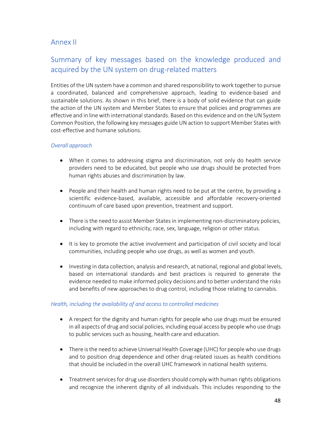### Annex II

### Summary of key messages based on the knowledge produced and acquired by the UN system on drug-related matters

Entities of the UN system have a common and shared responsibility to work together to pursue a coordinated, balanced and comprehensive approach, leading to evidence-based and sustainable solutions. As shown in this brief, there is a body of solid evidence that can guide the action of the UN system and Member States to ensure that policies and programmes are effective and in line with international standards. Based on this evidence and on the UN System Common Position, the following key messages guide UN action to support Member States with cost-effective and humane solutions.

#### *Overall approach*

- When it comes to addressing stigma and discrimination, not only do health service providers need to be educated, but people who use drugs should be protected from human rights abuses and discrimination by law.
- People and their health and human rights need to be put at the centre, by providing a scientific evidence-based, available, accessible and affordable recovery-oriented continuum of care based upon prevention, treatment and support.
- There is the need to assist Member States in implementing non-discriminatory policies, including with regard to ethnicity, race, sex, language, religion or other status.
- It is key to promote the active involvement and participation of civil society and local communities, including people who use drugs, as well as women and youth.
- Investing in data collection, analysis and research, at national, regional and global levels, based on international standards and best practices is required to generate the evidence needed to make informed policy decisions and to better understand the risks and benefits of new approaches to drug control, including those relating to cannabis.

#### *Health, including the availability of and access to controlled medicines*

- A respect for the dignity and human rights for people who use drugs must be ensured in all aspects of drug and social policies, including equal access by people who use drugs to public services such as housing, health care and education.
- There is the need to achieve Universal Health Coverage (UHC) for people who use drugs and to position drug dependence and other drug-related issues as health conditions that should be included in the overall UHC framework in national health systems.
- Treatment services for drug use disorders should comply with human rights obligations and recognize the inherent dignity of all individuals. This includes responding to the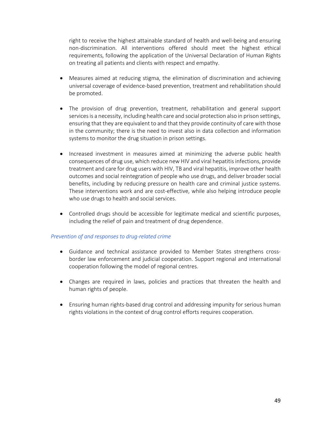right to receive the highest attainable standard of health and well-being and ensuring non-discrimination. All interventions offered should meet the highest ethical requirements, following the application of the Universal Declaration of Human Rights on treating all patients and clients with respect and empathy.

- Measures aimed at reducing stigma, the elimination of discrimination and achieving universal coverage of evidence-based prevention, treatment and rehabilitation should be promoted.
- The provision of drug prevention, treatment, rehabilitation and general support services is a necessity, including health care and social protection also in prison settings, ensuring that they are equivalent to and that they provide continuity of care with those in the community; there is the need to invest also in data collection and information systems to monitor the drug situation in prison settings.
- Increased investment in measures aimed at minimizing the adverse public health consequences of drug use, which reduce new HIV and viral hepatitis infections, provide treatment and care for drug users with HIV, TB and viral hepatitis, improve other health outcomes and social reintegration of people who use drugs, and deliver broader social benefits, including by reducing pressure on health care and criminal justice systems. These interventions work and are cost-effective, while also helping introduce people who use drugs to health and social services.
- Controlled drugs should be accessible for legitimate medical and scientific purposes, including the relief of pain and treatment of drug dependence.

#### *Prevention of and responses to drug-related crime*

- Guidance and technical assistance provided to Member States strengthens crossborder law enforcement and judicial cooperation. Support regional and international cooperation following the model of regional centres.
- Changes are required in laws, policies and practices that threaten the health and human rights of people.
- Ensuring human rights-based drug control and addressing impunity for serious human rights violations in the context of drug control efforts requires cooperation.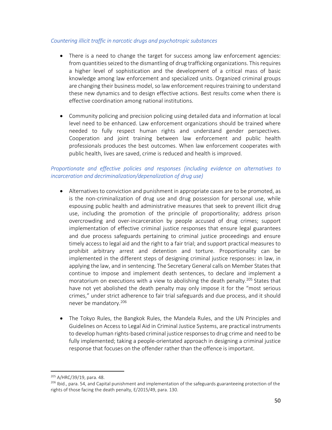#### *Countering illicit traffic in narcotic drugs and psychotropic substances*

- There is a need to change the target for success among law enforcement agencies: from quantities seized to the dismantling of drug trafficking organizations. This requires a higher level of sophistication and the development of a critical mass of basic knowledge among law enforcement and specialized units. Organized criminal groups are changing their business model, so law enforcement requires training to understand these new dynamics and to design effective actions. Best results come when there is effective coordination among national institutions.
- Community policing and precision policing using detailed data and information at local level need to be enhanced. Law enforcement organizations should be trained where needed to fully respect human rights and understand gender perspectives. Cooperation and joint training between law enforcement and public health professionals produces the best outcomes. When law enforcement cooperates with public health, lives are saved, crime is reduced and health is improved.

#### *Proportionate and effective policies and responses (including evidence on alternatives to incarceration and decriminalization/depenalization of drug use)*

- Alternatives to conviction and punishment in appropriate cases are to be promoted, as is the non-criminalization of drug use and drug possession for personal use, while espousing public health and administrative measures that seek to prevent illicit drug use, including the promotion of the principle of proportionality; address prison overcrowding and over-incarceration by people accused of drug crimes; support implementation of effective criminal justice responses that ensure legal guarantees and due process safeguards pertaining to criminal justice proceedings and ensure timely access to legal aid and the right to a fair trial; and support practical measures to prohibit arbitrary arrest and detention and torture. Proportionality can be implemented in the different steps of designing criminal justice responses: in law, in applying the law, and in sentencing. The Secretary General calls on Member States that continue to impose and implement death sentences, to declare and implement a moratorium on executions with a view to abolishing the death penalty.<sup>205</sup> States that have not yet abolished the death penalty may only impose it for the "most serious crimes," under strict adherence to fair trial safeguards and due process, and it should never be mandatory.<sup>206</sup>
- The Tokyo Rules, the Bangkok Rules, the Mandela Rules, and the UN Principles and Guidelines on Access to Legal Aid in Criminal Justice Systems, are practical instruments to develop human rights-based criminal justice responses to drug crime and need to be fully implemented; taking a people-orientated approach in designing a criminal justice response that focuses on the offender rather than the offence is important.

<sup>205</sup> A/HRC/39/19, para. 48.

 $^{206}$  Ibid., para. 54, and Capital punishment and implementation of the safeguards guaranteeing protection of the rights of those facing the death penalty, E/2015/49, para. 130.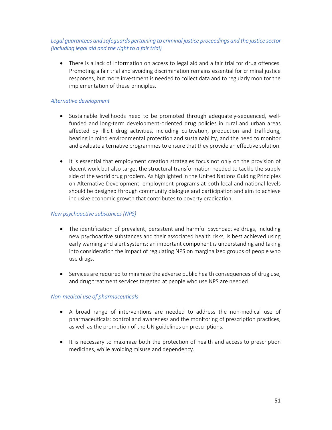#### *Legal guarantees and safeguards pertaining to criminal justice proceedings and the justice sector (including legal aid and the right to a fair trial)*

• There is a lack of information on access to legal aid and a fair trial for drug offences. Promoting a fair trial and avoiding discrimination remains essential for criminal justice responses, but more investment is needed to collect data and to regularly monitor the implementation of these principles.

#### *Alternative development*

- Sustainable livelihoods need to be promoted through adequately-sequenced, wellfunded and long-term development-oriented drug policies in rural and urban areas affected by illicit drug activities, including cultivation, production and trafficking, bearing in mind environmental protection and sustainability, and the need to monitor and evaluate alternative programmes to ensure that they provide an effective solution.
- It is essential that employment creation strategies focus not only on the provision of decent work but also target the structural transformation needed to tackle the supply side of the world drug problem. As highlighted in the United Nations Guiding Principles on Alternative Development, employment programs at both local and national levels should be designed through community dialogue and participation and aim to achieve inclusive economic growth that contributes to poverty eradication.

#### *New psychoactive substances (NPS)*

- The identification of prevalent, persistent and harmful psychoactive drugs, including new psychoactive substances and their associated health risks, is best achieved using early warning and alert systems; an important component is understanding and taking into consideration the impact of regulating NPS on marginalized groups of people who use drugs.
- Services are required to minimize the adverse public health consequences of drug use, and drug treatment services targeted at people who use NPS are needed.

#### *Non-medical use of pharmaceuticals*

- A broad range of interventions are needed to address the non-medical use of pharmaceuticals: control and awareness and the monitoring of prescription practices, as well as the promotion of the UN guidelines on prescriptions.
- It is necessary to maximize both the protection of health and access to prescription medicines, while avoiding misuse and dependency.